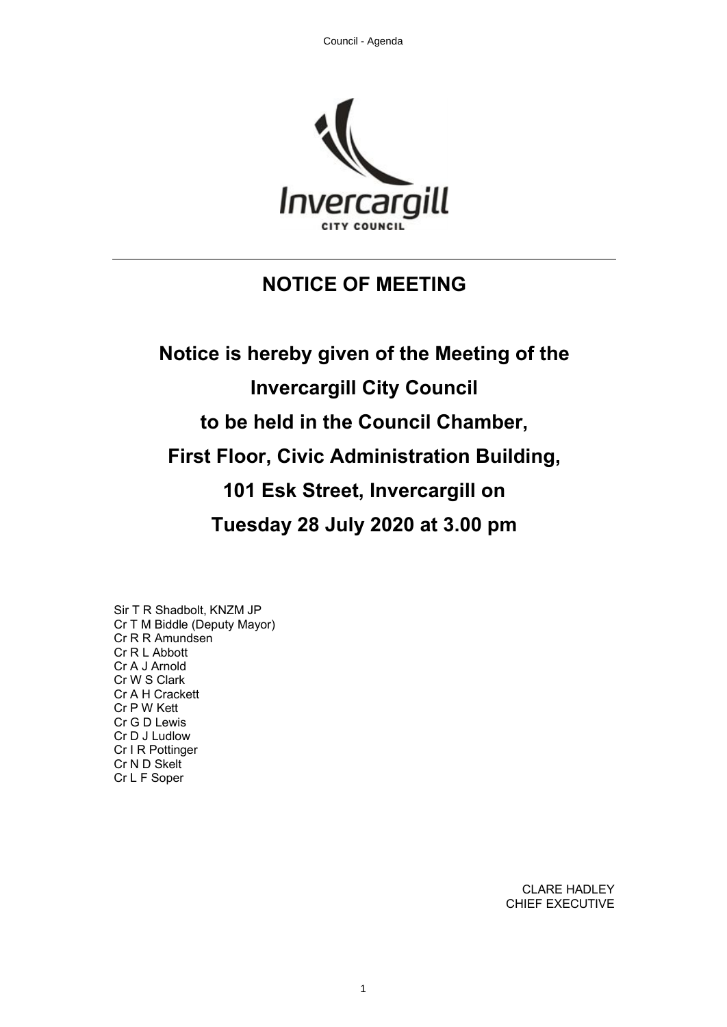

# **NOTICE OF MEETING**

**Notice is hereby given of the Meeting of the Invercargill City Council to be held in the Council Chamber, First Floor, Civic Administration Building, 101 Esk Street, Invercargill on Tuesday 28 July 2020 at 3.00 pm**

Sir T R Shadbolt, KNZM JP Cr T M Biddle (Deputy Mayor) Cr R R Amundsen Cr R L Abbott Cr A J Arnold Cr W S Clark Cr A H Crackett Cr P W Kett Cr G D Lewis Cr D J Ludlow Cr I R Pottinger Cr N D Skelt Cr L F Soper

> CLARE HADLEY CHIEF EXECUTIVE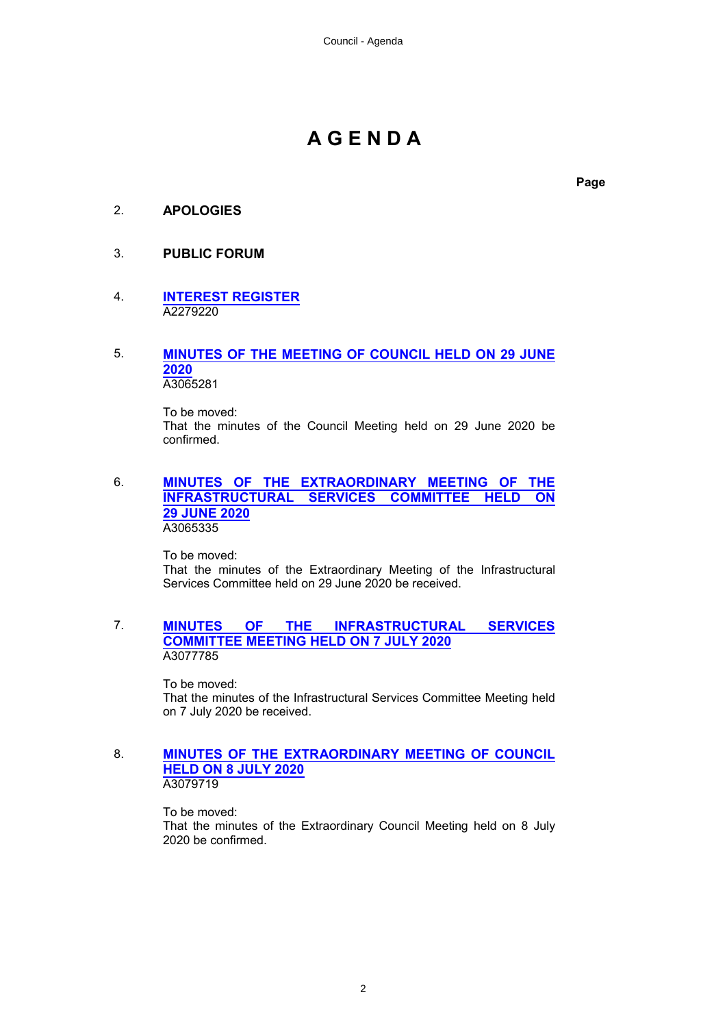# **A G E N D A**

**Page**

# 2. **APOLOGIES**

# 3. **PUBLIC FORUM**

# 4. **[INTEREST REGISTER](#page-4-0)** A2279220

# 5. **[MINUTES OF THE MEETING OF COUNCIL HELD ON 29 JUNE](#page-10-0) [2020](#page-10-0)**

A3065281

To be moved: That the minutes of the Council Meeting held on 29 June 2020 be confirmed.

# 6. **[MINUTES OF THE EXTRAORDINARY MEETING OF THE](#page-16-0) [INFRASTRUCTURAL SERVICES COMMITTEE HELD ON](#page-16-0) [29 JUNE 2020](#page-16-0)** A3065335

To be moved: That the minutes of the Extraordinary Meeting of the Infrastructural Services Committee held on 29 June 2020 be received.

# 7. **[MINUTES OF THE INFRASTRUCTURAL SERVICES](#page-18-0) [COMMITTEE MEETING HELD ON 7 JULY 2020](#page-18-0)** A3077785

To be moved: That the minutes of the Infrastructural Services Committee Meeting held on 7 July 2020 be received.

# 8. **[MINUTES OF THE EXTRAORDINARY MEETING OF COUNCIL](#page-24-0) [HELD ON 8 JULY 2020](#page-24-0)** A3079719

To be moved: That the minutes of the Extraordinary Council Meeting held on 8 July 2020 be confirmed.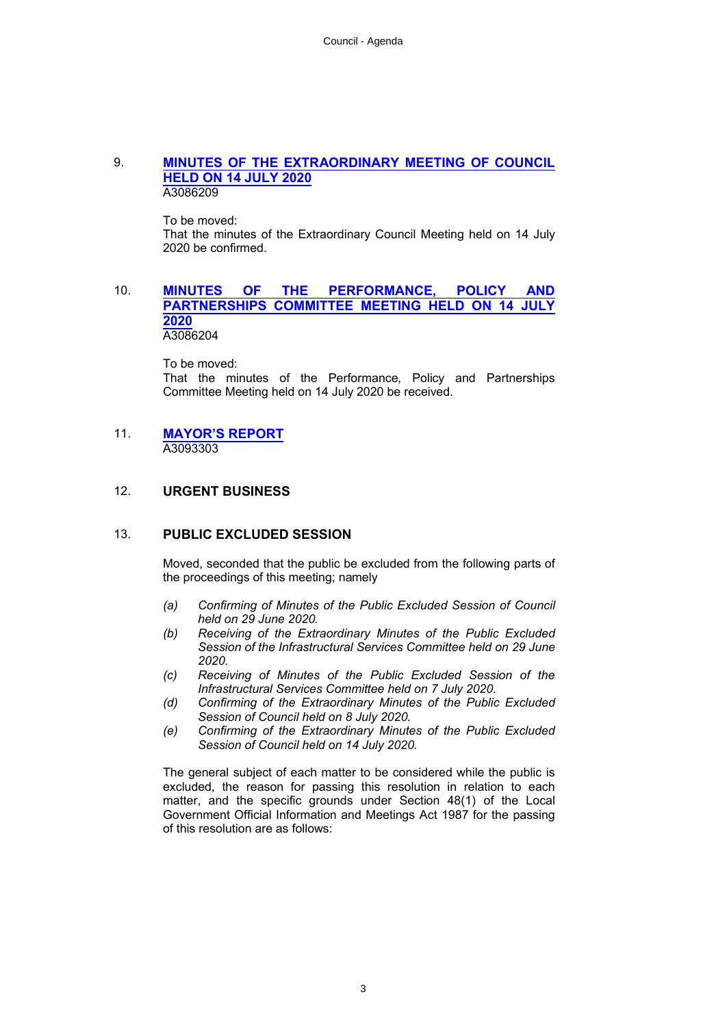# 9. **[MINUTES OF THE EXTRAORDINARY MEETING OF COUNCIL](#page-26-0) [HELD ON 14 JULY 2020](#page-26-0)** A3086209

To be moved:

That the minutes of the Extraordinary Council Meeting held on 14 July 2020 be confirmed.

# 10. **[MINUTES OF THE PERFORMANCE, POLICY AND](#page-28-0) [PARTNERSHIPS COMMITTEE MEETING HELD ON 14 JULY](#page-28-0) [2020](#page-28-0)** A3086204

To be moved: That the minutes of the Performance, Policy and Partnerships Committee Meeting held on 14 July 2020 be received.

#### 11. **[MAYOR'S REPORT](#page-32-0)** A3093303

# 12. **URGENT BUSINESS**

# 13. **PUBLIC EXCLUDED SESSION**

Moved, seconded that the public be excluded from the following parts of the proceedings of this meeting; namely

- *(a) Confirming of Minutes of the Public Excluded Session of Council held on 29 June 2020.*
- *(b) Receiving of the Extraordinary Minutes of the Public Excluded Session of the Infrastructural Services Committee held on 29 June 2020.*
- *(c) Receiving of Minutes of the Public Excluded Session of the Infrastructural Services Committee held on 7 July 2020.*
- *(d) Confirming of the Extraordinary Minutes of the Public Excluded Session of Council held on 8 July 2020.*
- *(e) Confirming of the Extraordinary Minutes of the Public Excluded Session of Council held on 14 July 2020.*

The general subject of each matter to be considered while the public is excluded, the reason for passing this resolution in relation to each matter, and the specific grounds under Section 48(1) of the Local Government Official Information and Meetings Act 1987 for the passing of this resolution are as follows: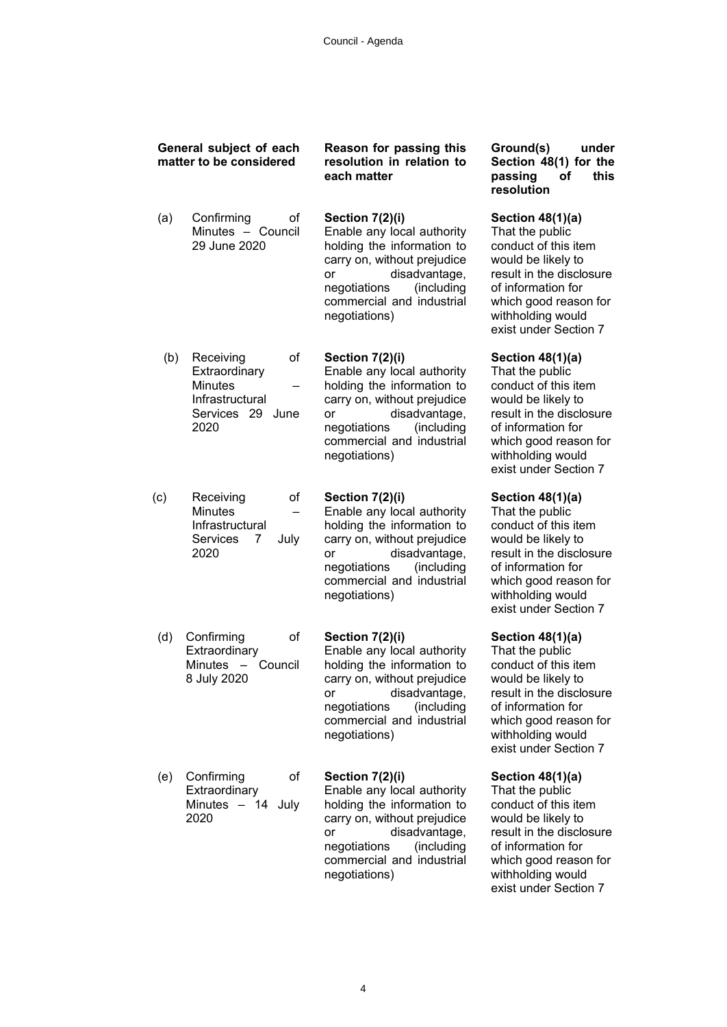|     | General subject of each<br>matter to be considered                                                                    | Reason for passing this<br>resolution in relation to<br>each matter                                                                                                                                           | Ground(s)<br>under<br>Section 48(1) for the<br>this<br>passing<br>Οf<br>resolution                                                                                                                           |
|-----|-----------------------------------------------------------------------------------------------------------------------|---------------------------------------------------------------------------------------------------------------------------------------------------------------------------------------------------------------|--------------------------------------------------------------------------------------------------------------------------------------------------------------------------------------------------------------|
| (a) | Confirming<br>οf<br>Minutes - Council<br>29 June 2020                                                                 | Section 7(2)(i)<br>Enable any local authority<br>holding the information to<br>carry on, without prejudice<br>disadvantage,<br>or<br>negotiations<br>(including<br>commercial and industrial<br>negotiations) | Section 48(1)(a)<br>That the public<br>conduct of this item<br>would be likely to<br>result in the disclosure<br>of information for<br>which good reason for<br>withholding would<br>exist under Section 7   |
| (b) | of<br>Receiving<br>Extraordinary<br><b>Minutes</b><br>Infrastructural<br>Services 29 June<br>2020                     | Section 7(2)(i)<br>Enable any local authority<br>holding the information to<br>carry on, without prejudice<br>disadvantage,<br>or<br>negotiations<br>(including<br>commercial and industrial<br>negotiations) | Section 48(1)(a)<br>That the public<br>conduct of this item<br>would be likely to<br>result in the disclosure<br>of information for<br>which good reason for<br>withholding would<br>exist under Section 7   |
| (c) | οf<br>Receiving<br><b>Minutes</b><br>Infrastructural<br>Services<br>7<br>July<br>2020                                 | Section 7(2)(i)<br>Enable any local authority<br>holding the information to<br>carry on, without prejudice<br>disadvantage,<br>or<br>negotiations<br>(including<br>commercial and industrial<br>negotiations) | Section 48(1)(a)<br>That the public<br>conduct of this item<br>would be likely to<br>result in the disclosure<br>of information for<br>which good reason for<br>withholding would<br>exist under Section 7   |
| (d) | o <sub>f</sub><br>Confirming<br>Extraordinary<br><b>Minutes</b><br>Council<br>$\overline{\phantom{0}}$<br>8 July 2020 | Section 7(2)(i)<br>Enable any local authority<br>holding the information to<br>carry on, without prejudice<br>disadvantage,<br>or<br>(including<br>negotiations<br>commercial and industrial<br>negotiations) | Section $48(1)(a)$<br>That the public<br>conduct of this item<br>would be likely to<br>result in the disclosure<br>of information for<br>which good reason for<br>withholding would<br>exist under Section 7 |
| (e) | οf<br>Confirming<br>Extraordinary<br>Minutes - 14<br>July<br>2020                                                     | Section 7(2)(i)<br>Enable any local authority<br>holding the information to<br>carry on, without prejudice<br>disadvantage,<br>or<br>(including<br>negotiations<br>commercial and industrial<br>negotiations) | Section $48(1)(a)$<br>That the public<br>conduct of this item<br>would be likely to<br>result in the disclosure<br>of information for<br>which good reason for<br>withholding would<br>exist under Section 7 |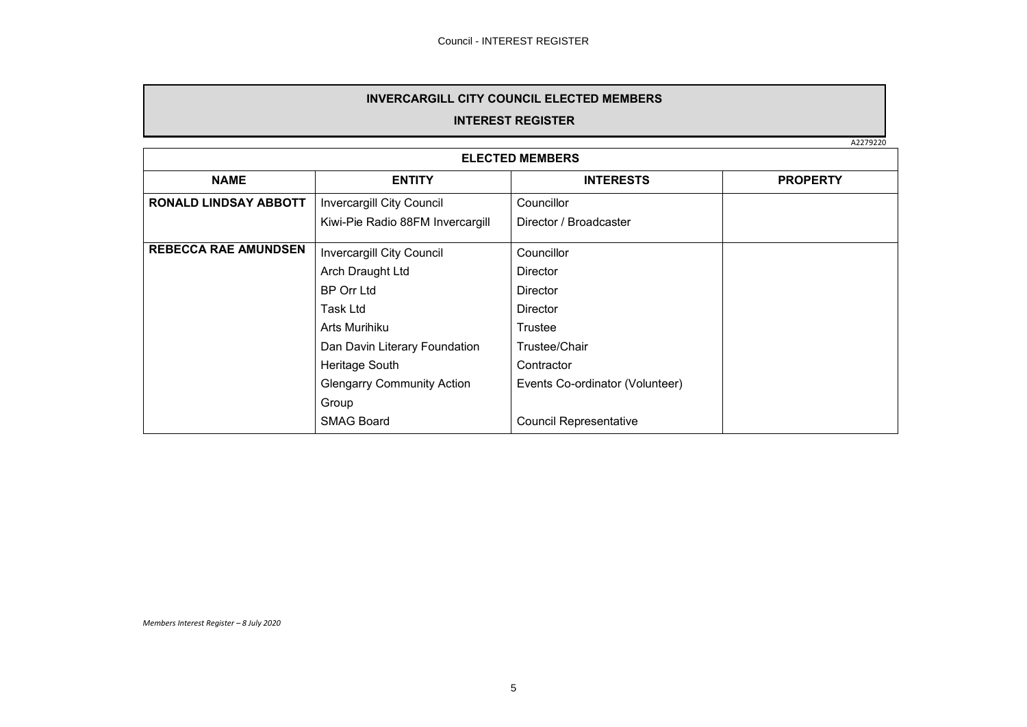# **INVERCARGILL CITY COUNCIL ELECTED MEMBERS**

# **INTEREST REGISTER**

A2279220

<span id="page-4-0"></span>

| <b>ELECTED MEMBERS</b>       |                                   |                                 |                 |
|------------------------------|-----------------------------------|---------------------------------|-----------------|
| <b>NAME</b>                  | <b>ENTITY</b>                     |                                 | <b>PROPERTY</b> |
| <b>RONALD LINDSAY ABBOTT</b> | <b>Invercargill City Council</b>  | Councillor                      |                 |
|                              | Kiwi-Pie Radio 88FM Invercargill  | Director / Broadcaster          |                 |
| <b>REBECCA RAE AMUNDSEN</b>  | Invercargill City Council         | Councillor                      |                 |
|                              | Arch Draught Ltd                  | Director                        |                 |
|                              | <b>BP Orr Ltd</b>                 | Director                        |                 |
|                              | Task Ltd                          | Director                        |                 |
|                              | Arts Murihiku                     | Trustee                         |                 |
|                              | Dan Davin Literary Foundation     | Trustee/Chair                   |                 |
|                              | Heritage South                    | Contractor                      |                 |
|                              | <b>Glengarry Community Action</b> | Events Co-ordinator (Volunteer) |                 |
|                              | Group                             |                                 |                 |
|                              | <b>SMAG Board</b>                 | <b>Council Representative</b>   |                 |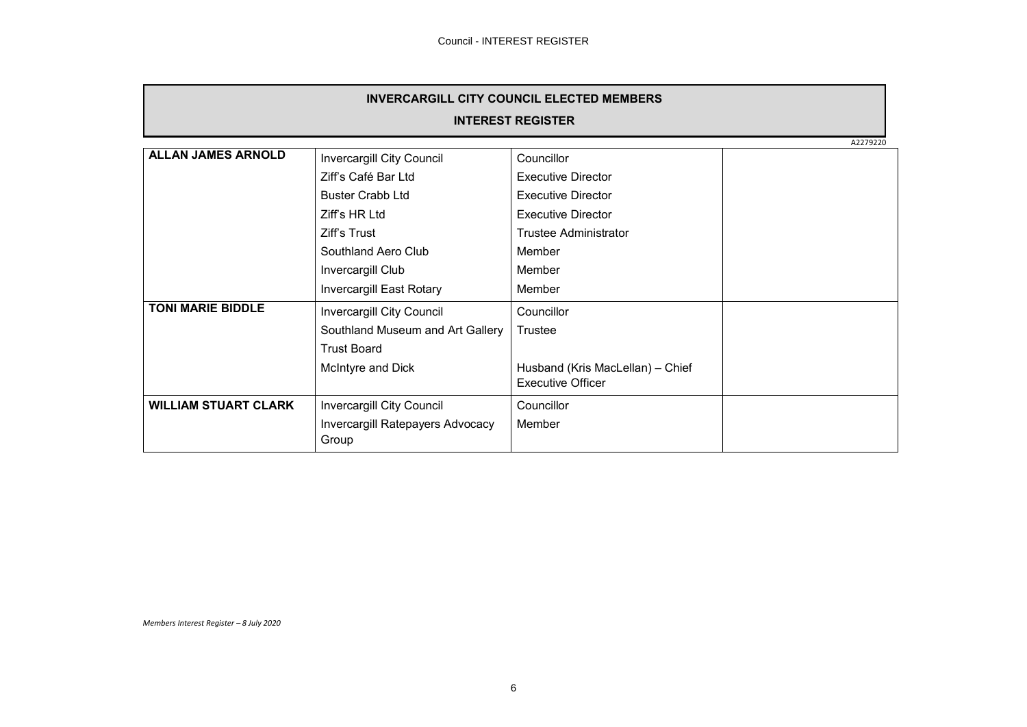| <b>INVERCARGILL CITY COUNCIL ELECTED MEMBERS</b> |                                  |                                  |          |  |  |
|--------------------------------------------------|----------------------------------|----------------------------------|----------|--|--|
|                                                  | <b>INTEREST REGISTER</b>         |                                  |          |  |  |
|                                                  |                                  |                                  | A2279220 |  |  |
| <b>ALLAN JAMES ARNOLD</b>                        | Invercargill City Council        | Councillor                       |          |  |  |
|                                                  | Ziff's Café Bar Ltd              | <b>Executive Director</b>        |          |  |  |
|                                                  | <b>Buster Crabb Ltd</b>          | <b>Executive Director</b>        |          |  |  |
|                                                  | Ziff's HR Ltd                    | <b>Executive Director</b>        |          |  |  |
|                                                  | Ziff's Trust                     | Trustee Administrator            |          |  |  |
| Southland Aero Club                              |                                  | Member                           |          |  |  |
| Invercargill Club                                |                                  | Member                           |          |  |  |
|                                                  | <b>Invercargill East Rotary</b>  | Member                           |          |  |  |
| <b>TONI MARIE BIDDLE</b>                         | Invercargill City Council        | Councillor                       |          |  |  |
|                                                  | Southland Museum and Art Gallery | Trustee                          |          |  |  |
|                                                  | <b>Trust Board</b>               |                                  |          |  |  |
|                                                  | McIntyre and Dick                | Husband (Kris MacLellan) - Chief |          |  |  |
|                                                  |                                  | <b>Executive Officer</b>         |          |  |  |
| <b>WILLIAM STUART CLARK</b>                      | Invercargill City Council        | Councillor                       |          |  |  |
|                                                  | Invercargill Ratepayers Advocacy | Member                           |          |  |  |
|                                                  | Group                            |                                  |          |  |  |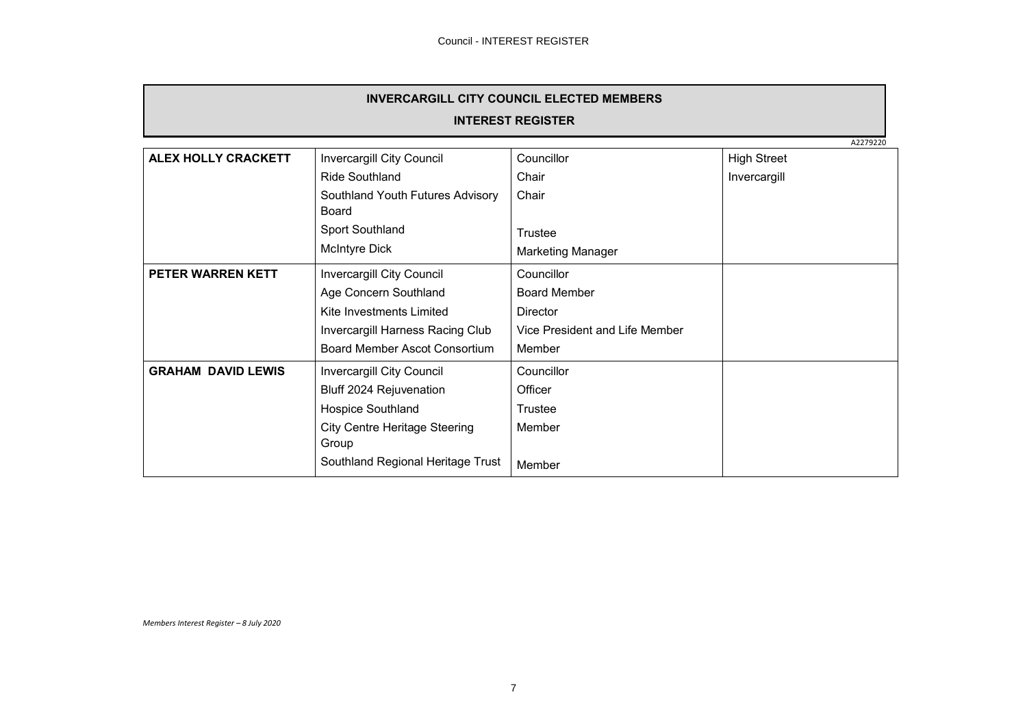| <b>INVERCARGILL CITY COUNCIL ELECTED MEMBERS</b> |
|--------------------------------------------------|
|                                                  |

**INTEREST REGISTER**

|                           |                                           |                                | A2279220           |
|---------------------------|-------------------------------------------|--------------------------------|--------------------|
| ALEX HOLLY CRACKETT       | Invercargill City Council                 | Councillor                     | <b>High Street</b> |
|                           | <b>Ride Southland</b>                     | Chair                          | Invercargill       |
|                           | Southland Youth Futures Advisory<br>Board | Chair                          |                    |
|                           | Sport Southland                           | Trustee                        |                    |
|                           | <b>McIntyre Dick</b>                      | <b>Marketing Manager</b>       |                    |
| PETER WARREN KETT         | Invercargill City Council                 | Councillor                     |                    |
|                           | Age Concern Southland                     | <b>Board Member</b>            |                    |
|                           | Kite Investments Limited                  | <b>Director</b>                |                    |
|                           | Invercargill Harness Racing Club          | Vice President and Life Member |                    |
|                           | Board Member Ascot Consortium             | Member                         |                    |
| <b>GRAHAM DAVID LEWIS</b> | Invercargill City Council                 | Councillor                     |                    |
|                           | Bluff 2024 Rejuvenation                   | Officer                        |                    |
|                           | Hospice Southland                         | Trustee                        |                    |
|                           | <b>City Centre Heritage Steering</b>      | Member                         |                    |
|                           | Group                                     |                                |                    |
|                           | Southland Regional Heritage Trust         | Member                         |                    |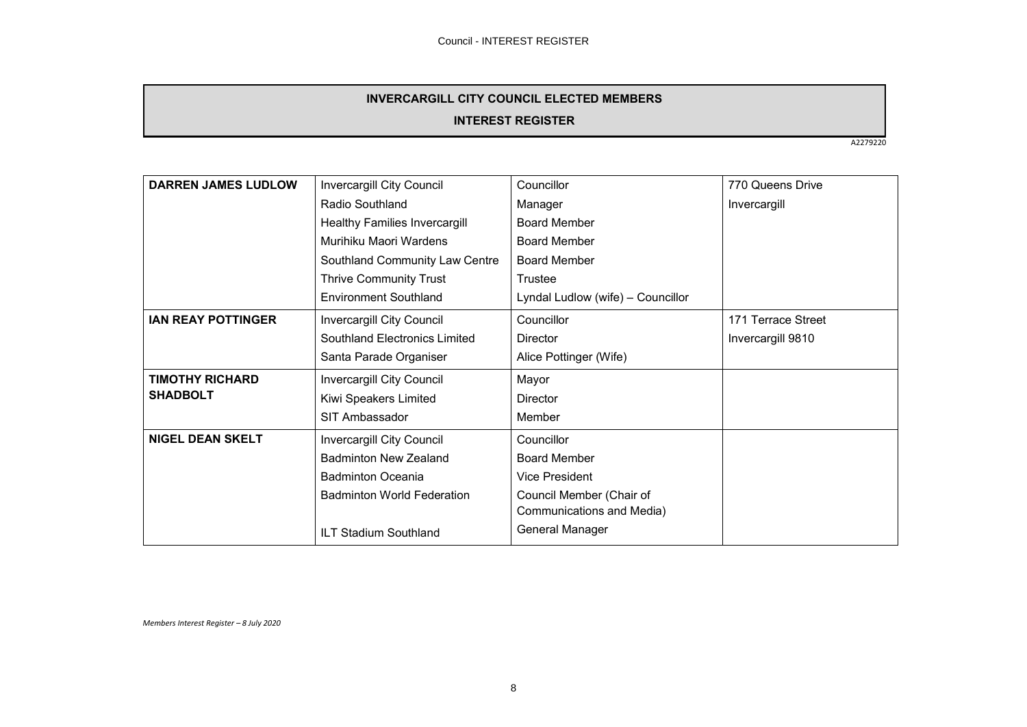# **INVERCARGILL CITY COUNCIL ELECTED MEMBERS**

# **INTEREST REGISTER**

A2279220

| <b>DARREN JAMES LUDLOW</b> | Invercargill City Council            | Councillor                        | 770 Queens Drive   |
|----------------------------|--------------------------------------|-----------------------------------|--------------------|
|                            | Radio Southland                      | Manager                           | Invercargill       |
|                            | <b>Healthy Families Invercargill</b> | <b>Board Member</b>               |                    |
|                            | Murihiku Maori Wardens               | <b>Board Member</b>               |                    |
|                            | Southland Community Law Centre       | <b>Board Member</b>               |                    |
|                            | <b>Thrive Community Trust</b>        | Trustee                           |                    |
|                            | <b>Environment Southland</b>         | Lyndal Ludlow (wife) - Councillor |                    |
| <b>IAN REAY POTTINGER</b>  | Invercargill City Council            | Councillor                        | 171 Terrace Street |
|                            | Southland Electronics Limited        | <b>Director</b>                   | Invercargill 9810  |
|                            | Santa Parade Organiser               | Alice Pottinger (Wife)            |                    |
| <b>TIMOTHY RICHARD</b>     | Invercargill City Council            | Mayor                             |                    |
| <b>SHADBOLT</b>            | Kiwi Speakers Limited                | Director                          |                    |
|                            | SIT Ambassador                       | Member                            |                    |
| <b>NIGEL DEAN SKELT</b>    | Invercargill City Council            | Councillor                        |                    |
|                            | <b>Badminton New Zealand</b>         | <b>Board Member</b>               |                    |
|                            | <b>Badminton Oceania</b>             | <b>Vice President</b>             |                    |
|                            | <b>Badminton World Federation</b>    | Council Member (Chair of          |                    |
|                            |                                      | Communications and Media)         |                    |
|                            | ILT Stadium Southland                | General Manager                   |                    |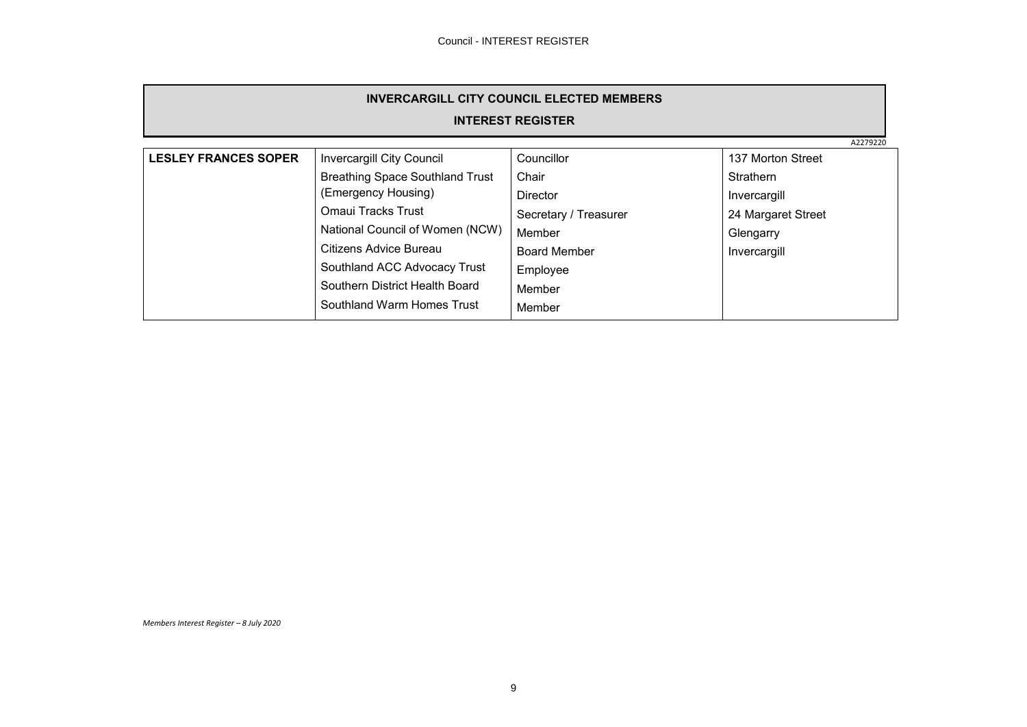| <b>INVERCARGILL CITY COUNCIL ELECTED MEMBERS</b> |                                        |                       |                    |          |  |
|--------------------------------------------------|----------------------------------------|-----------------------|--------------------|----------|--|
| <b>INTEREST REGISTER</b>                         |                                        |                       |                    |          |  |
|                                                  |                                        |                       |                    | A2279220 |  |
| <b>LESLEY FRANCES SOPER</b>                      | <b>Invercargill City Council</b>       | Councillor            | 137 Morton Street  |          |  |
|                                                  | <b>Breathing Space Southland Trust</b> | Chair                 | <b>Strathern</b>   |          |  |
| (Emergency Housing)                              |                                        | <b>Director</b>       | Invercargill       |          |  |
|                                                  | Omaui Tracks Trust                     | Secretary / Treasurer | 24 Margaret Street |          |  |
|                                                  | National Council of Women (NCW)        | Member                | Glengarry          |          |  |
|                                                  | Citizens Advice Bureau                 | <b>Board Member</b>   | Invercargill       |          |  |
|                                                  | Southland ACC Advocacy Trust           | Employee              |                    |          |  |
|                                                  | Southern District Health Board         | Member                |                    |          |  |
|                                                  | Southland Warm Homes Trust             | Member                |                    |          |  |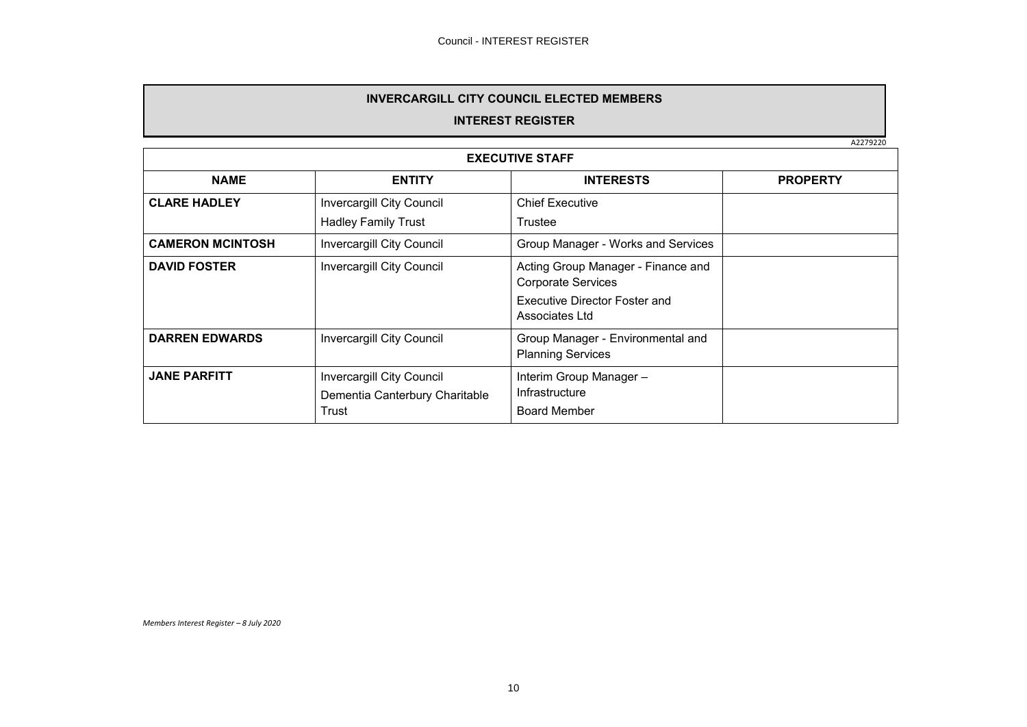# **INVERCARGILL CITY COUNCIL ELECTED MEMBERS**

# **INTEREST REGISTER**

A2279220

| <b>EXECUTIVE STAFF</b>  |                                                                             |                                                                                                                    |  |  |  |
|-------------------------|-----------------------------------------------------------------------------|--------------------------------------------------------------------------------------------------------------------|--|--|--|
| <b>NAME</b>             | <b>INTERESTS</b><br><b>ENTITY</b>                                           |                                                                                                                    |  |  |  |
| <b>CLARE HADLEY</b>     | <b>Invercargill City Council</b><br><b>Hadley Family Trust</b>              | <b>Chief Executive</b><br>Trustee                                                                                  |  |  |  |
| <b>CAMERON MCINTOSH</b> | <b>Invercargill City Council</b>                                            | Group Manager - Works and Services                                                                                 |  |  |  |
| <b>DAVID FOSTER</b>     | <b>Invercargill City Council</b>                                            | Acting Group Manager - Finance and<br><b>Corporate Services</b><br>Executive Director Foster and<br>Associates Ltd |  |  |  |
| <b>DARREN EDWARDS</b>   | <b>Invercargill City Council</b>                                            | Group Manager - Environmental and<br><b>Planning Services</b>                                                      |  |  |  |
| <b>JANE PARFITT</b>     | <b>Invercargill City Council</b><br>Dementia Canterbury Charitable<br>Trust | Interim Group Manager -<br>Infrastructure<br><b>Board Member</b>                                                   |  |  |  |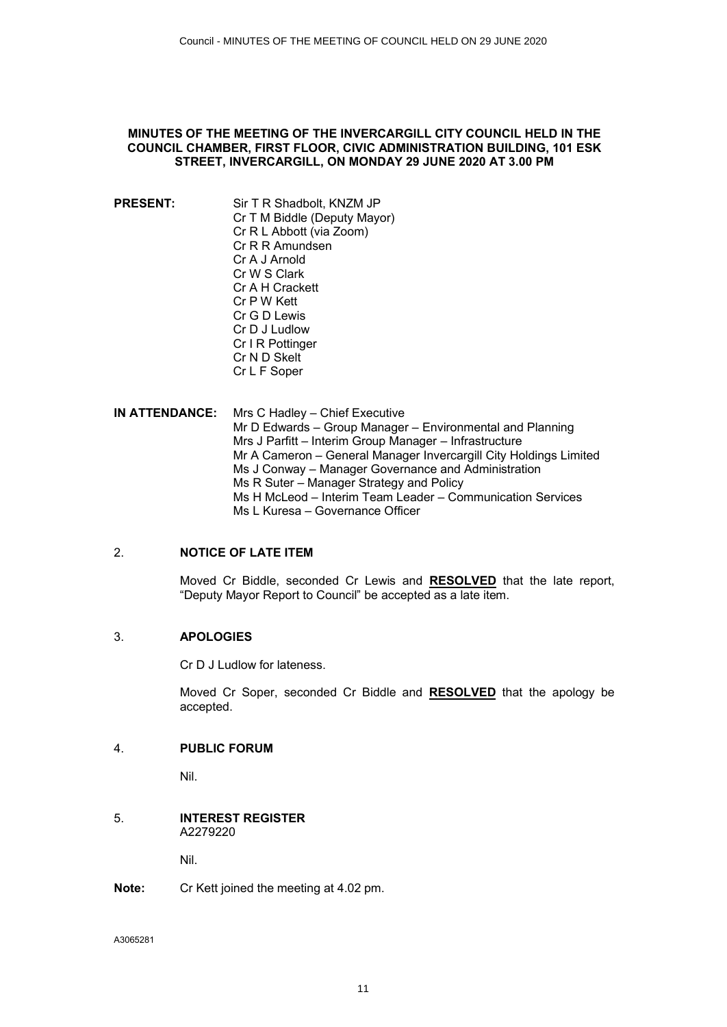# <span id="page-10-0"></span>**MINUTES OF THE MEETING OF THE INVERCARGILL CITY COUNCIL HELD IN THE COUNCIL CHAMBER, FIRST FLOOR, CIVIC ADMINISTRATION BUILDING, 101 ESK STREET, INVERCARGILL, ON MONDAY 29 JUNE 2020 AT 3.00 PM**

- **PRESENT:** Sir T R Shadbolt, KNZM JP Cr T M Biddle (Deputy Mayor) Cr R L Abbott (via Zoom) Cr R R Amundsen Cr A J Arnold Cr W S Clark Cr A H Crackett Cr P W Kett Cr G D Lewis Cr D J Ludlow Cr I R Pottinger Cr N D Skelt Cr L F Soper
- **IN ATTENDANCE:** Mrs C Hadley Chief Executive Mr D Edwards – Group Manager – Environmental and Planning Mrs J Parfitt – Interim Group Manager – Infrastructure Mr A Cameron – General Manager Invercargill City Holdings Limited Ms J Conway – Manager Governance and Administration Ms R Suter – Manager Strategy and Policy Ms H McLeod – Interim Team Leader – Communication Services Ms L Kuresa – Governance Officer

# 2. **NOTICE OF LATE ITEM**

Moved Cr Biddle, seconded Cr Lewis and **RESOLVED** that the late report, "Deputy Mayor Report to Council" be accepted as a late item.

#### 3. **APOLOGIES**

Cr D J Ludlow for lateness.

Moved Cr Soper, seconded Cr Biddle and **RESOLVED** that the apology be accepted.

# 4. **PUBLIC FORUM**

Nil.

#### 5. **INTEREST REGISTER** A2279220

Nil.

# **Note:** Cr Kett joined the meeting at 4.02 pm.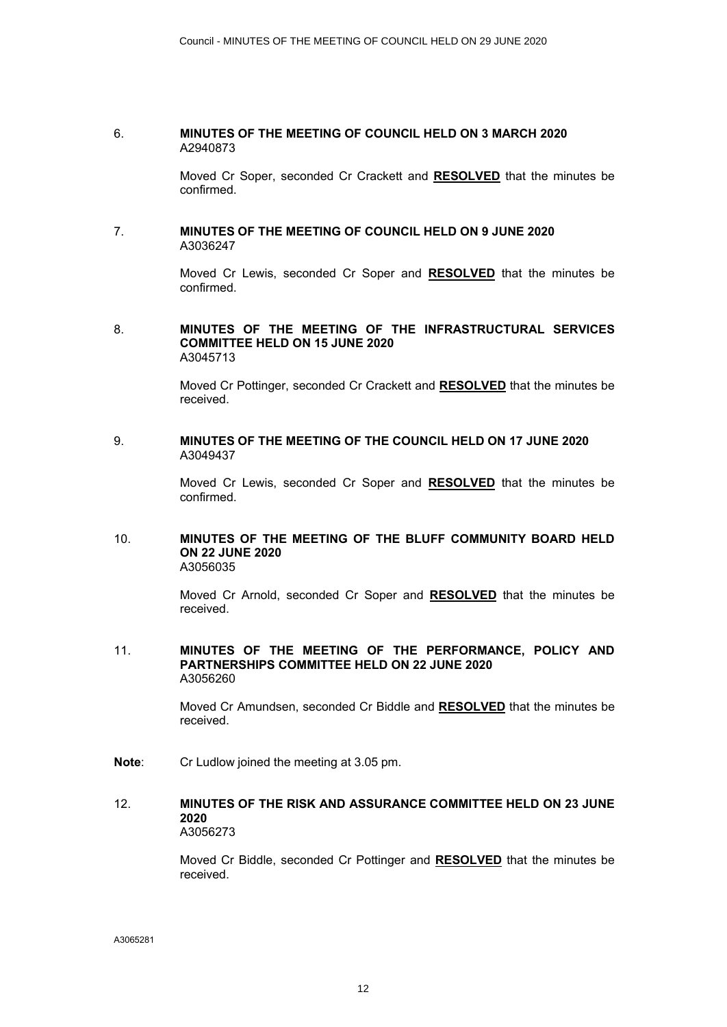#### 6. **MINUTES OF THE MEETING OF COUNCIL HELD ON 3 MARCH 2020** A2940873

Moved Cr Soper, seconded Cr Crackett and **RESOLVED** that the minutes be confirmed.

#### 7. **MINUTES OF THE MEETING OF COUNCIL HELD ON 9 JUNE 2020** A3036247

Moved Cr Lewis, seconded Cr Soper and **RESOLVED** that the minutes be confirmed.

#### 8. **MINUTES OF THE MEETING OF THE INFRASTRUCTURAL SERVICES COMMITTEE HELD ON 15 JUNE 2020** A3045713

Moved Cr Pottinger, seconded Cr Crackett and **RESOLVED** that the minutes be received.

# 9. **MINUTES OF THE MEETING OF THE COUNCIL HELD ON 17 JUNE 2020** A3049437

Moved Cr Lewis, seconded Cr Soper and **RESOLVED** that the minutes be confirmed.

#### 10. **MINUTES OF THE MEETING OF THE BLUFF COMMUNITY BOARD HELD ON 22 JUNE 2020** A3056035

Moved Cr Arnold, seconded Cr Soper and **RESOLVED** that the minutes be received.

#### 11. **MINUTES OF THE MEETING OF THE PERFORMANCE, POLICY AND PARTNERSHIPS COMMITTEE HELD ON 22 JUNE 2020** A3056260

Moved Cr Amundsen, seconded Cr Biddle and **RESOLVED** that the minutes be received.

**Note**: Cr Ludlow joined the meeting at 3.05 pm.

#### 12. **MINUTES OF THE RISK AND ASSURANCE COMMITTEE HELD ON 23 JUNE 2020** A3056273

Moved Cr Biddle, seconded Cr Pottinger and **RESOLVED** that the minutes be received.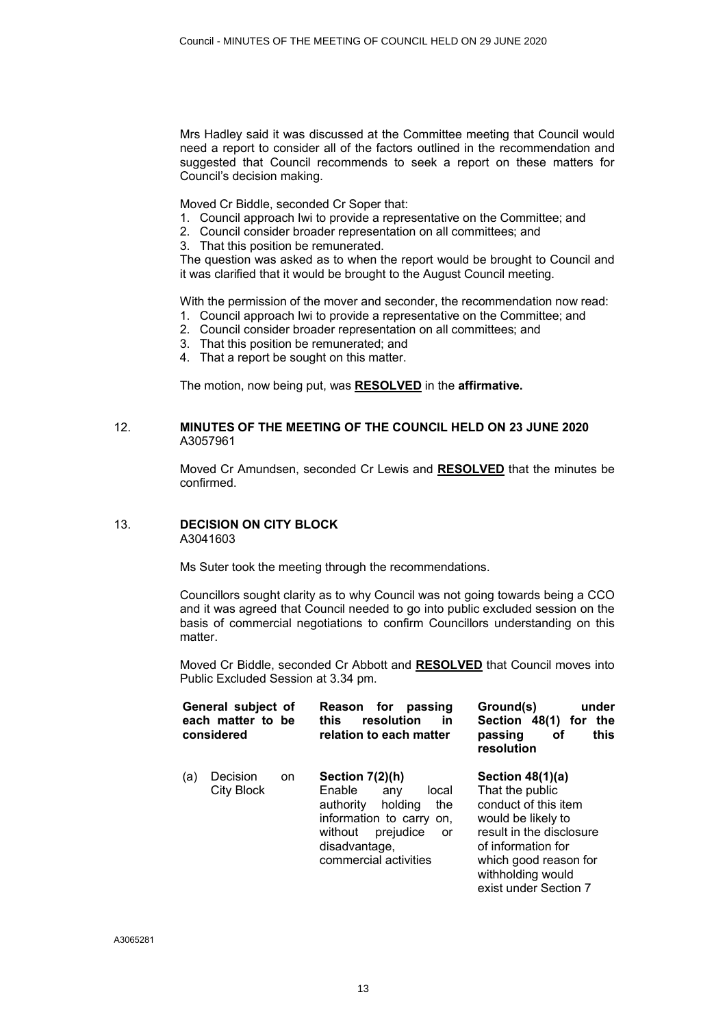Mrs Hadley said it was discussed at the Committee meeting that Council would need a report to consider all of the factors outlined in the recommendation and suggested that Council recommends to seek a report on these matters for Council's decision making.

Moved Cr Biddle, seconded Cr Soper that:

- 1. Council approach Iwi to provide a representative on the Committee; and
- 2. Council consider broader representation on all committees; and
- 3. That this position be remunerated.

The question was asked as to when the report would be brought to Council and it was clarified that it would be brought to the August Council meeting.

With the permission of the mover and seconder, the recommendation now read:

- 1. Council approach Iwi to provide a representative on the Committee; and
- 2. Council consider broader representation on all committees; and
- 3. That this position be remunerated; and
- 4. That a report be sought on this matter.

The motion, now being put, was **RESOLVED** in the **affirmative.**

# 12. **MINUTES OF THE MEETING OF THE COUNCIL HELD ON 23 JUNE 2020**  A3057961

Moved Cr Amundsen, seconded Cr Lewis and **RESOLVED** that the minutes be confirmed.

# 13. **DECISION ON CITY BLOCK**

A3041603

Ms Suter took the meeting through the recommendations.

Councillors sought clarity as to why Council was not going towards being a CCO and it was agreed that Council needed to go into public excluded session on the basis of commercial negotiations to confirm Councillors understanding on this matter.

Moved Cr Biddle, seconded Cr Abbott and **RESOLVED** that Council moves into Public Excluded Session at 3.34 pm.

| General subject of<br>each matter to be<br>considered |                        |    | for<br><b>Reason</b><br>passing<br>resolution<br>this<br><u>in</u><br>relation to each matter                                                                                  | Ground(s)<br>under<br>the<br>Section 48(1)<br>for<br>this<br>passing<br>οf<br>resolution                                                                                                                     |
|-------------------------------------------------------|------------------------|----|--------------------------------------------------------------------------------------------------------------------------------------------------------------------------------|--------------------------------------------------------------------------------------------------------------------------------------------------------------------------------------------------------------|
| (a)                                                   | Decision<br>City Block | on | Section $7(2)(h)$<br>Enable<br>local<br>any<br>the<br>authority<br>holding<br>information to carry on,<br>prejudice<br>without<br>or<br>disadvantage,<br>commercial activities | Section $48(1)(a)$<br>That the public<br>conduct of this item<br>would be likely to<br>result in the disclosure<br>of information for<br>which good reason for<br>withholding would<br>exist under Section 7 |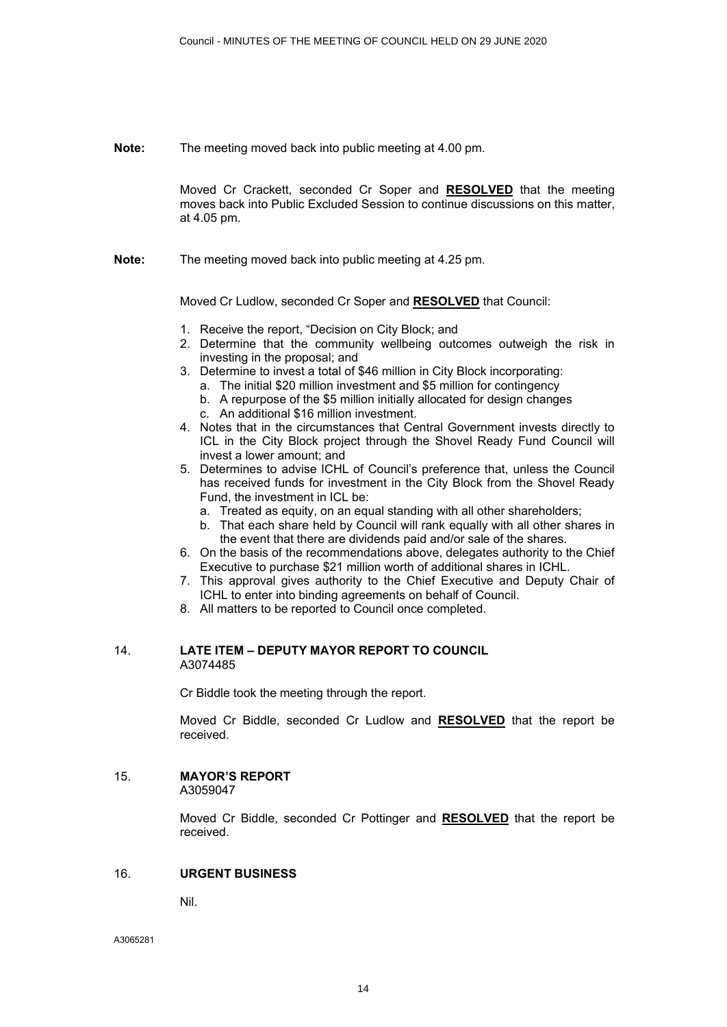**Note:** The meeting moved back into public meeting at 4.00 pm.

Moved Cr Crackett, seconded Cr Soper and **RESOLVED** that the meeting moves back into Public Excluded Session to continue discussions on this matter, at 4.05 pm.

**Note:** The meeting moved back into public meeting at 4.25 pm.

Moved Cr Ludlow, seconded Cr Soper and **RESOLVED** that Council:

- 1. Receive the report, "Decision on City Block; and
- 2. Determine that the community wellbeing outcomes outweigh the risk in investing in the proposal; and
- 3. Determine to invest a total of \$46 million in City Block incorporating:
	- a. The initial \$20 million investment and \$5 million for contingency
	- b. A repurpose of the \$5 million initially allocated for design changes
	- c. An additional \$16 million investment.
- 4. Notes that in the circumstances that Central Government invests directly to ICL in the City Block project through the Shovel Ready Fund Council will invest a lower amount; and
- 5. Determines to advise ICHL of Council's preference that, unless the Council has received funds for investment in the City Block from the Shovel Ready Fund, the investment in ICL be:
	- a. Treated as equity, on an equal standing with all other shareholders;
	- b. That each share held by Council will rank equally with all other shares in the event that there are dividends paid and/or sale of the shares.
- 6. On the basis of the recommendations above, delegates authority to the Chief Executive to purchase \$21 million worth of additional shares in ICHL.
- 7. This approval gives authority to the Chief Executive and Deputy Chair of ICHL to enter into binding agreements on behalf of Council.
- 8. All matters to be reported to Council once completed.

#### 14. **LATE ITEM – DEPUTY MAYOR REPORT TO COUNCIL** A3074485

Cr Biddle took the meeting through the report.

Moved Cr Biddle, seconded Cr Ludlow and **RESOLVED** that the report be received.

# 15. **MAYOR'S REPORT**

A3059047

Moved Cr Biddle, seconded Cr Pottinger and **RESOLVED** that the report be received.

# 16. **URGENT BUSINESS**

Nil.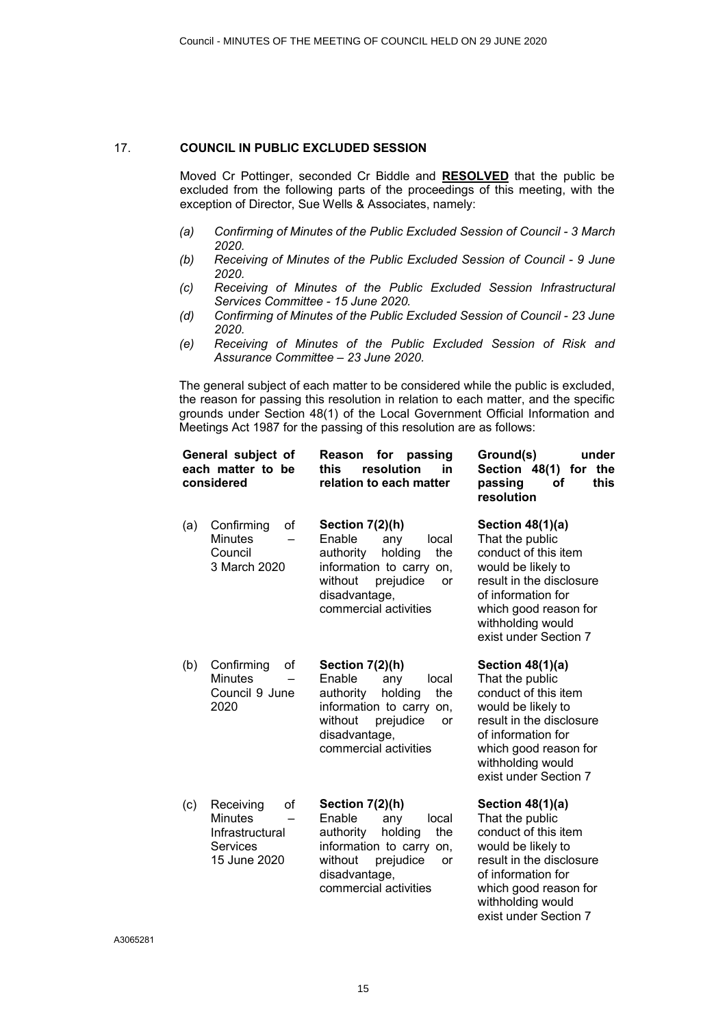#### 17. **COUNCIL IN PUBLIC EXCLUDED SESSION**

Moved Cr Pottinger, seconded Cr Biddle and **RESOLVED** that the public be excluded from the following parts of the proceedings of this meeting, with the exception of Director, Sue Wells & Associates, namely:

- *(a) Confirming of Minutes of the Public Excluded Session of Council 3 March 2020.*
- *(b) Receiving of Minutes of the Public Excluded Session of Council 9 June 2020.*
- *(c) Receiving of Minutes of the Public Excluded Session Infrastructural Services Committee - 15 June 2020.*
- *(d) Confirming of Minutes of the Public Excluded Session of Council 23 June 2020.*
- *(e) Receiving of Minutes of the Public Excluded Session of Risk and Assurance Committee – 23 June 2020.*

The general subject of each matter to be considered while the public is excluded, the reason for passing this resolution in relation to each matter, and the specific grounds under Section 48(1) of the Local Government Official Information and Meetings Act 1987 for the passing of this resolution are as follows:

| General subject of<br>each matter to be<br>considered |                                                                                         | Reason<br>for<br>passing<br>resolution<br>in<br>this<br>relation to each matter                                                                                                     | under<br>Ground(s)<br>Section 48(1) for the<br>this<br>passing<br>οf<br>resolution                                                                                                                         |
|-------------------------------------------------------|-----------------------------------------------------------------------------------------|-------------------------------------------------------------------------------------------------------------------------------------------------------------------------------------|------------------------------------------------------------------------------------------------------------------------------------------------------------------------------------------------------------|
| (a)                                                   | Confirming<br>οf<br><b>Minutes</b><br>Council<br>3 March 2020                           | Section 7(2)(h)<br>Enable<br>any<br>local<br>authority<br>holding<br>the<br>information to carry on,<br>without<br>prejudice<br><b>or</b><br>disadvantage,<br>commercial activities | Section 48(1)(a)<br>That the public<br>conduct of this item<br>would be likely to<br>result in the disclosure<br>of information for<br>which good reason for<br>withholding would<br>exist under Section 7 |
| (b)                                                   | Confirming<br>οf<br><b>Minutes</b><br>Council 9 June<br>2020                            | Section 7(2)(h)<br>Enable<br>local<br>any<br>holding<br>the<br>authority<br>information to carry<br>on,<br>without<br>prejudice<br>or<br>disadvantage,<br>commercial activities     | Section 48(1)(a)<br>That the public<br>conduct of this item<br>would be likely to<br>result in the disclosure<br>of information for<br>which good reason for<br>withholding would<br>exist under Section 7 |
| (c)                                                   | Receiving<br>οf<br><b>Minutes</b><br>Infrastructural<br><b>Services</b><br>15 June 2020 | Section 7(2)(h)<br>Enable<br>any<br>local<br>authority<br>holding<br>the<br>information to carry on,<br>without<br>prejudice<br>or<br>disadvantage,<br>commercial activities        | Section $48(1)(a)$<br>That the public<br>conduct of this item<br>would be likely to<br>result in the disclosure<br>of information for<br>which good reason for<br>withholding would                        |

exist under Section 7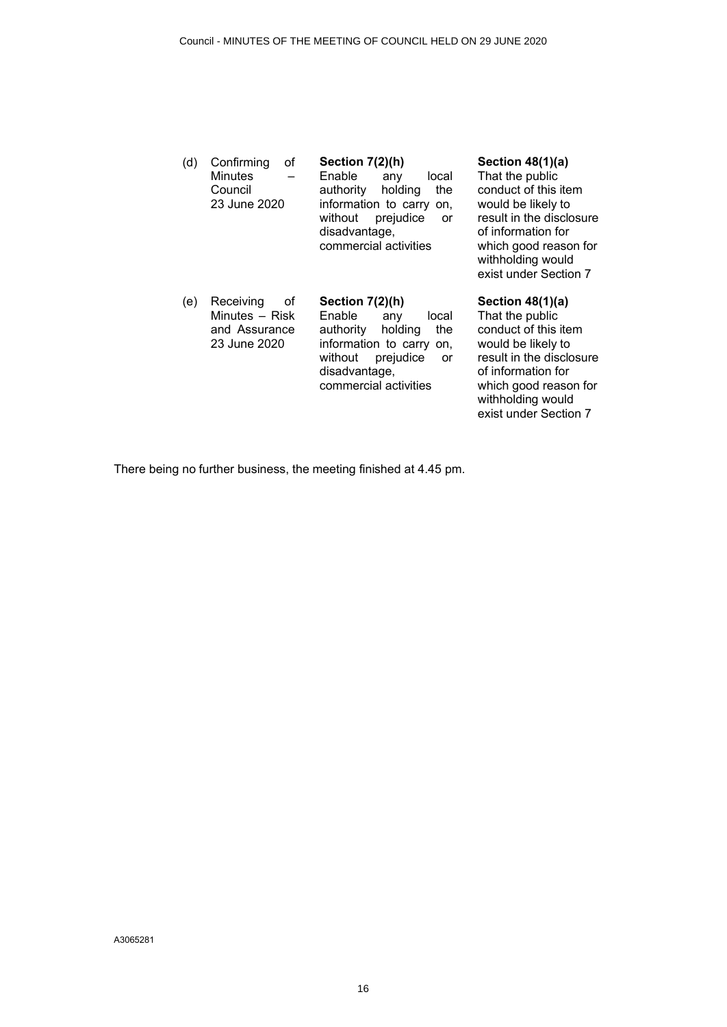| (d) | οf<br>Confirming<br><b>Minutes</b><br>Council<br>23 June 2020      | Section 7(2)(h)<br>Enable<br>local<br>any<br>authority<br>holding<br>the<br>information to carry on,<br>prejudice<br>without<br><b>or</b><br>disadvantage,<br>commercial activities | Section 48(1)(a)<br>That the public<br>conduct of this item<br>would be likely to<br>result in the disclosure<br>of information for<br>which good reason for<br>withholding would<br>exist under Section 7   |
|-----|--------------------------------------------------------------------|-------------------------------------------------------------------------------------------------------------------------------------------------------------------------------------|--------------------------------------------------------------------------------------------------------------------------------------------------------------------------------------------------------------|
| (e) | Receiving<br>οf<br>Minutes – Risk<br>and Assurance<br>23 June 2020 | Section 7(2)(h)<br>Enable<br>local<br>any<br>the<br>authority<br>holding<br>information to carry<br>on.<br>without<br>prejudice<br>or<br>disadvantage,<br>commercial activities     | Section $48(1)(a)$<br>That the public<br>conduct of this item<br>would be likely to<br>result in the disclosure<br>of information for<br>which good reason for<br>withholding would<br>exist under Section 7 |

There being no further business, the meeting finished at 4.45 pm.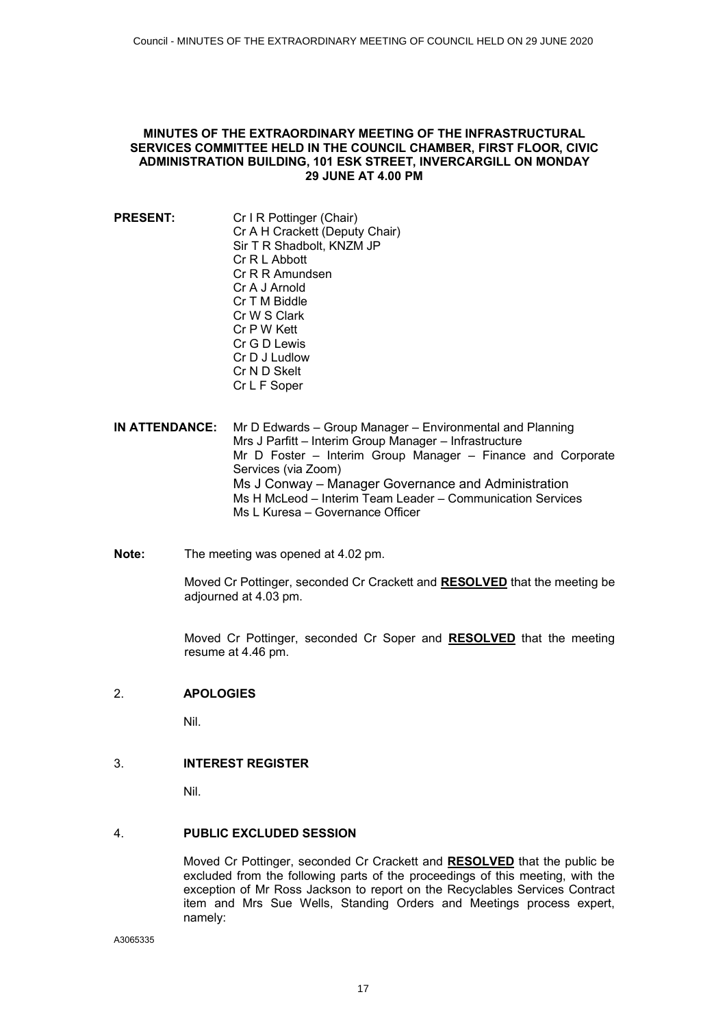#### <span id="page-16-0"></span>**MINUTES OF THE EXTRAORDINARY MEETING OF THE INFRASTRUCTURAL SERVICES COMMITTEE HELD IN THE COUNCIL CHAMBER, FIRST FLOOR, CIVIC ADMINISTRATION BUILDING, 101 ESK STREET, INVERCARGILL ON MONDAY 29 JUNE AT 4.00 PM**

- **PRESENT:** Cr I R Pottinger (Chair) Cr A H Crackett (Deputy Chair) Sir T R Shadbolt, KNZM JP Cr R L Abbott Cr R R Amundsen Cr A J Arnold Cr T M Biddle Cr W S Clark Cr P W Kett Cr G D Lewis Cr D J Ludlow Cr N D Skelt Cr L F Soper
- **IN ATTENDANCE:** Mr D Edwards Group Manager Environmental and Planning Mrs J Parfitt – Interim Group Manager – Infrastructure Mr D Foster – Interim Group Manager – Finance and Corporate Services (via Zoom) Ms J Conway – Manager Governance and Administration Ms H McLeod – Interim Team Leader – Communication Services Ms L Kuresa – Governance Officer
- **Note:** The meeting was opened at 4.02 pm.

Moved Cr Pottinger, seconded Cr Crackett and **RESOLVED** that the meeting be adjourned at 4.03 pm.

Moved Cr Pottinger, seconded Cr Soper and **RESOLVED** that the meeting resume at 4.46 pm.

# 2. **APOLOGIES**

Nil.

# 3. **INTEREST REGISTER**

Nil.

# 4. **PUBLIC EXCLUDED SESSION**

Moved Cr Pottinger, seconded Cr Crackett and **RESOLVED** that the public be excluded from the following parts of the proceedings of this meeting, with the exception of Mr Ross Jackson to report on the Recyclables Services Contract item and Mrs Sue Wells, Standing Orders and Meetings process expert, namely: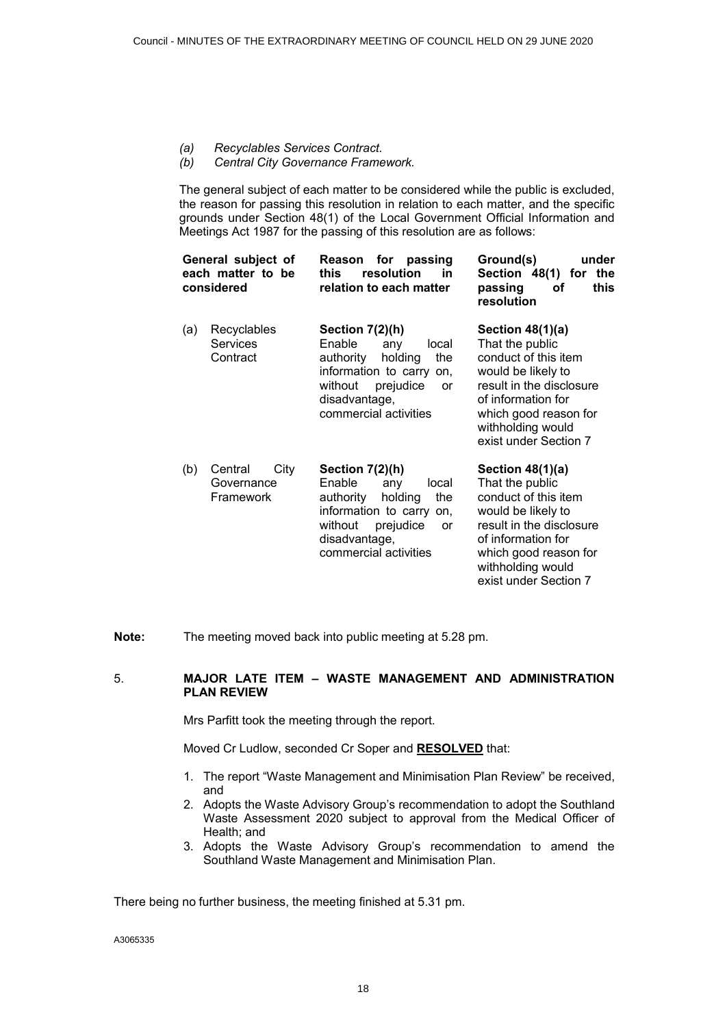- *(a) Recyclables Services Contract.*
- *(b) Central City Governance Framework.*

The general subject of each matter to be considered while the public is excluded, the reason for passing this resolution in relation to each matter, and the specific grounds under Section 48(1) of the Local Government Official Information and Meetings Act 1987 for the passing of this resolution are as follows:

| General subject of<br>each matter to be<br>considered | for<br>passing<br>Reason<br>resolution<br>this<br>in<br>relation to each matter                                                                                                 | under<br>Ground(s)<br>the<br>Section 48(1) for<br>this<br>passing<br>οf<br>resolution                                                                                                                      |
|-------------------------------------------------------|---------------------------------------------------------------------------------------------------------------------------------------------------------------------------------|------------------------------------------------------------------------------------------------------------------------------------------------------------------------------------------------------------|
| Recyclables<br>(a)<br><b>Services</b><br>Contract     | Section 7(2)(h)<br>Enable<br>local<br>any<br>authority<br>holding<br>the<br>information to carry<br>on.<br>without<br>prejudice<br>or<br>disadvantage,<br>commercial activities | Section 48(1)(a)<br>That the public<br>conduct of this item<br>would be likely to<br>result in the disclosure<br>of information for<br>which good reason for<br>withholding would<br>exist under Section 7 |
| City<br>Central<br>(b)<br>Governance<br>Framework     | Section 7(2)(h)<br>Enable<br>local<br>any<br>the<br>authority<br>holding<br>information to carry<br>on.<br>without<br>prejudice<br>or<br>disadvantage,<br>commercial activities | Section 48(1)(a)<br>That the public<br>conduct of this item<br>would be likely to<br>result in the disclosure<br>of information for<br>which good reason for<br>withholding would<br>exist under Section 7 |

**Note:** The meeting moved back into public meeting at 5.28 pm.

# 5. **MAJOR LATE ITEM – WASTE MANAGEMENT AND ADMINISTRATION PLAN REVIEW**

Mrs Parfitt took the meeting through the report.

Moved Cr Ludlow, seconded Cr Soper and **RESOLVED** that:

- 1. The report "Waste Management and Minimisation Plan Review" be received, and
- 2. Adopts the Waste Advisory Group's recommendation to adopt the Southland Waste Assessment 2020 subject to approval from the Medical Officer of Health; and
- 3. Adopts the Waste Advisory Group's recommendation to amend the Southland Waste Management and Minimisation Plan.

There being no further business, the meeting finished at 5.31 pm.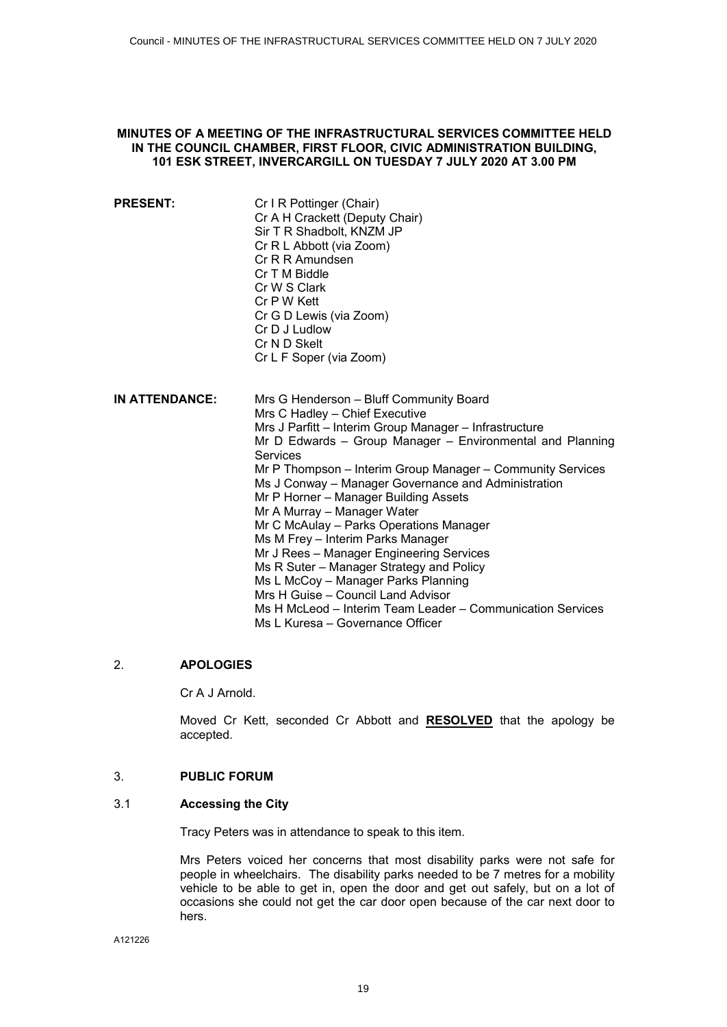# <span id="page-18-0"></span>**MINUTES OF A MEETING OF THE INFRASTRUCTURAL SERVICES COMMITTEE HELD IN THE COUNCIL CHAMBER, FIRST FLOOR, CIVIC ADMINISTRATION BUILDING, 101 ESK STREET, INVERCARGILL ON TUESDAY 7 JULY 2020 AT 3.00 PM**

| <b>PRESENT:</b> | Cr I R Pottinger (Chair)       |
|-----------------|--------------------------------|
|                 | Cr A H Crackett (Deputy Chair) |
|                 | Sir T R Shadbolt, KNZM JP      |
|                 | Cr R L Abbott (via Zoom)       |
|                 | Cr R R Amundsen                |
|                 | Cr T M Biddle                  |
|                 | Cr W S Clark                   |
|                 | Cr P W Kett                    |
|                 | Cr G D Lewis (via Zoom)        |
|                 | Cr D J Ludlow                  |
|                 | Cr N D Skelt                   |
|                 | Cr L F Soper (via Zoom)        |
|                 |                                |

| <b>IN ATTENDANCE:</b> | Mrs G Henderson - Bluff Community Board                    |
|-----------------------|------------------------------------------------------------|
|                       | Mrs C Hadley - Chief Executive                             |
|                       | Mrs J Parfitt - Interim Group Manager - Infrastructure     |
|                       | Mr D Edwards – Group Manager – Environmental and Planning  |
|                       | <b>Services</b>                                            |
|                       | Mr P Thompson – Interim Group Manager – Community Services |
|                       | Ms J Conway – Manager Governance and Administration        |
|                       | Mr P Horner - Manager Building Assets                      |
|                       | Mr A Murray - Manager Water                                |
|                       | Mr C McAulay – Parks Operations Manager                    |
|                       | Ms M Frey - Interim Parks Manager                          |
|                       | Mr J Rees – Manager Engineering Services                   |
|                       | Ms R Suter – Manager Strategy and Policy                   |
|                       | Ms L McCoy - Manager Parks Planning                        |
|                       | Mrs H Guise – Council Land Advisor                         |
|                       | Ms H McLeod - Interim Team Leader - Communication Services |
|                       | Ms L Kuresa – Governance Officer                           |

# 2. **APOLOGIES**

Cr A J Arnold.

Moved Cr Kett, seconded Cr Abbott and **RESOLVED** that the apology be accepted.

# 3. **PUBLIC FORUM**

# 3.1 **Accessing the City**

Tracy Peters was in attendance to speak to this item.

Mrs Peters voiced her concerns that most disability parks were not safe for people in wheelchairs. The disability parks needed to be 7 metres for a mobility vehicle to be able to get in, open the door and get out safely, but on a lot of occasions she could not get the car door open because of the car next door to hers.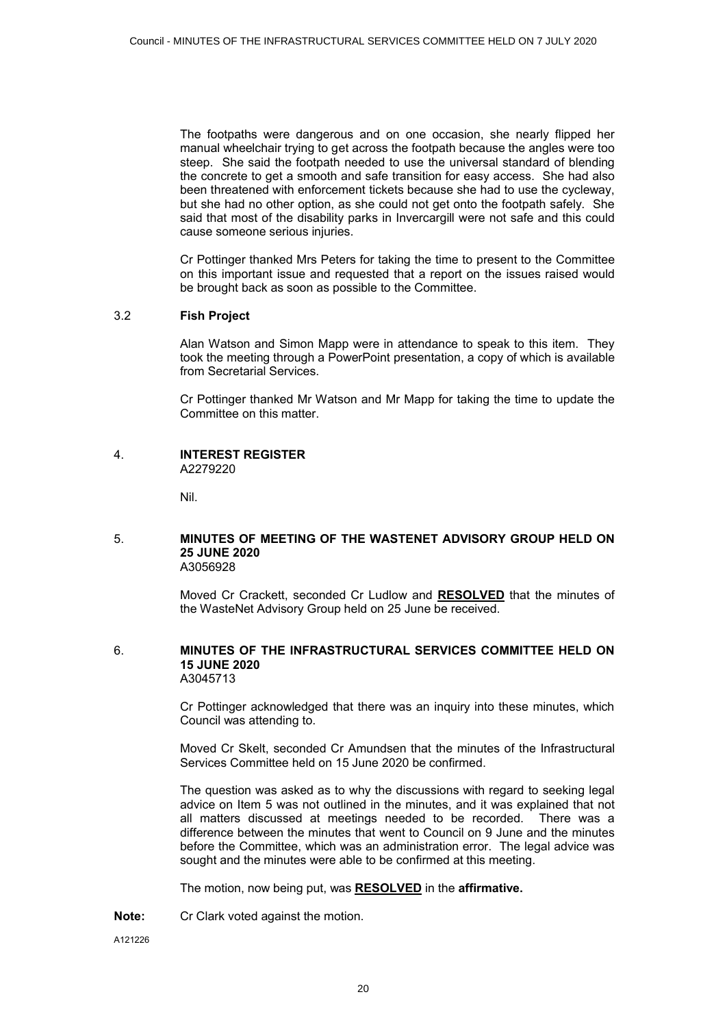The footpaths were dangerous and on one occasion, she nearly flipped her manual wheelchair trying to get across the footpath because the angles were too steep. She said the footpath needed to use the universal standard of blending the concrete to get a smooth and safe transition for easy access. She had also been threatened with enforcement tickets because she had to use the cycleway, but she had no other option, as she could not get onto the footpath safely. She said that most of the disability parks in Invercargill were not safe and this could cause someone serious injuries.

Cr Pottinger thanked Mrs Peters for taking the time to present to the Committee on this important issue and requested that a report on the issues raised would be brought back as soon as possible to the Committee.

# 3.2 **Fish Project**

Alan Watson and Simon Mapp were in attendance to speak to this item. They took the meeting through a PowerPoint presentation, a copy of which is available from Secretarial Services.

Cr Pottinger thanked Mr Watson and Mr Mapp for taking the time to update the Committee on this matter.

#### 4. **INTEREST REGISTER**  A2279220

Nil.

#### 5. **MINUTES OF MEETING OF THE WASTENET ADVISORY GROUP HELD ON 25 JUNE 2020** A3056928

Moved Cr Crackett, seconded Cr Ludlow and **RESOLVED** that the minutes of the WasteNet Advisory Group held on 25 June be received.

#### 6. **MINUTES OF THE INFRASTRUCTURAL SERVICES COMMITTEE HELD ON 15 JUNE 2020** A3045713

Cr Pottinger acknowledged that there was an inquiry into these minutes, which Council was attending to.

Moved Cr Skelt, seconded Cr Amundsen that the minutes of the Infrastructural Services Committee held on 15 June 2020 be confirmed.

The question was asked as to why the discussions with regard to seeking legal advice on Item 5 was not outlined in the minutes, and it was explained that not all matters discussed at meetings needed to be recorded. There was a difference between the minutes that went to Council on 9 June and the minutes before the Committee, which was an administration error. The legal advice was sought and the minutes were able to be confirmed at this meeting.

The motion, now being put, was **RESOLVED** in the **affirmative.**

**Note:** Cr Clark voted against the motion.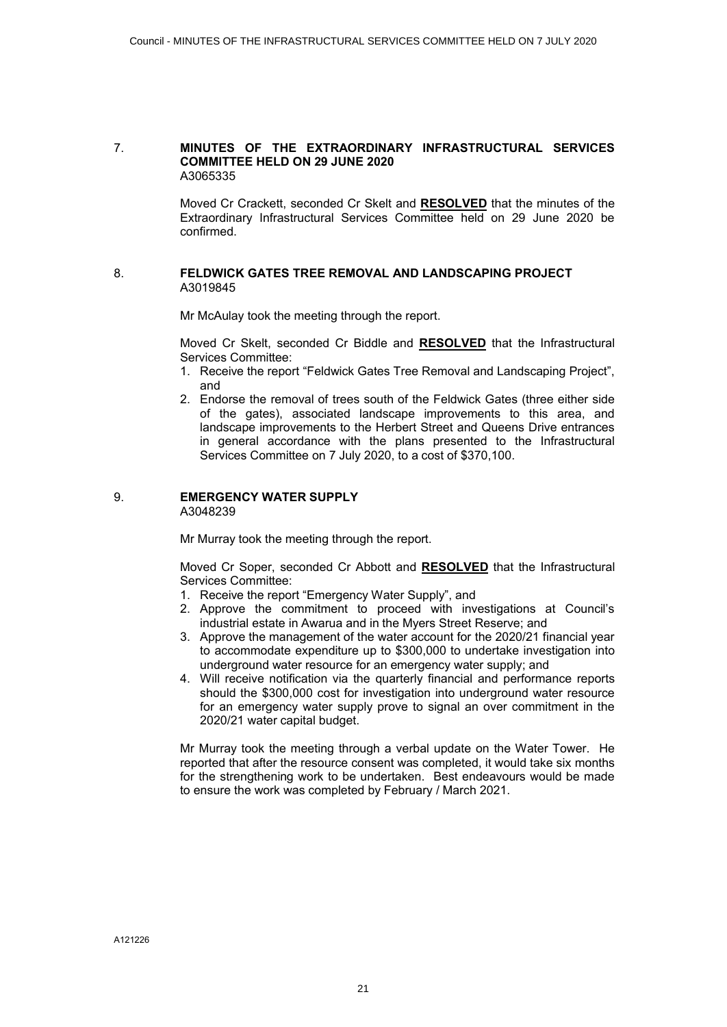#### 7. **MINUTES OF THE EXTRAORDINARY INFRASTRUCTURAL SERVICES COMMITTEE HELD ON 29 JUNE 2020** A3065335

Moved Cr Crackett, seconded Cr Skelt and **RESOLVED** that the minutes of the Extraordinary Infrastructural Services Committee held on 29 June 2020 be confirmed.

# 8. **FELDWICK GATES TREE REMOVAL AND LANDSCAPING PROJECT** A3019845

Mr McAulay took the meeting through the report.

Moved Cr Skelt, seconded Cr Biddle and **RESOLVED** that the Infrastructural Services Committee:

- 1. Receive the report "Feldwick Gates Tree Removal and Landscaping Project", and
- 2. Endorse the removal of trees south of the Feldwick Gates (three either side of the gates), associated landscape improvements to this area, and landscape improvements to the Herbert Street and Queens Drive entrances in general accordance with the plans presented to the Infrastructural Services Committee on 7 July 2020, to a cost of \$370,100.

# 9. **EMERGENCY WATER SUPPLY**

A3048239

Mr Murray took the meeting through the report.

Moved Cr Soper, seconded Cr Abbott and **RESOLVED** that the Infrastructural Services Committee:

- 1. Receive the report "Emergency Water Supply", and
- 2. Approve the commitment to proceed with investigations at Council's industrial estate in Awarua and in the Myers Street Reserve; and
- 3. Approve the management of the water account for the 2020/21 financial year to accommodate expenditure up to \$300,000 to undertake investigation into underground water resource for an emergency water supply; and
- 4. Will receive notification via the quarterly financial and performance reports should the \$300,000 cost for investigation into underground water resource for an emergency water supply prove to signal an over commitment in the 2020/21 water capital budget.

Mr Murray took the meeting through a verbal update on the Water Tower. He reported that after the resource consent was completed, it would take six months for the strengthening work to be undertaken. Best endeavours would be made to ensure the work was completed by February / March 2021.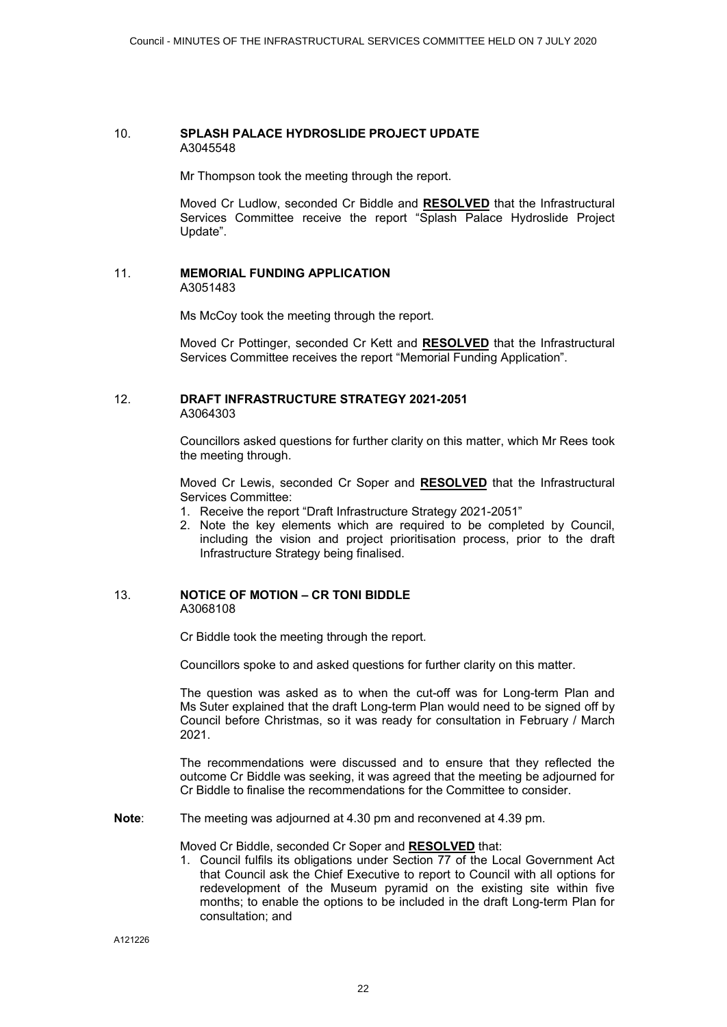#### 10. **SPLASH PALACE HYDROSLIDE PROJECT UPDATE** A3045548

Mr Thompson took the meeting through the report.

Moved Cr Ludlow, seconded Cr Biddle and **RESOLVED** that the Infrastructural Services Committee receive the report "Splash Palace Hydroslide Project Update".

#### 11. **MEMORIAL FUNDING APPLICATION** A3051483

Ms McCoy took the meeting through the report.

Moved Cr Pottinger, seconded Cr Kett and **RESOLVED** that the Infrastructural Services Committee receives the report "Memorial Funding Application".

# 12. **DRAFT INFRASTRUCTURE STRATEGY 2021-2051** A3064303

Councillors asked questions for further clarity on this matter, which Mr Rees took the meeting through.

Moved Cr Lewis, seconded Cr Soper and **RESOLVED** that the Infrastructural Services Committee:

- 1. Receive the report "Draft Infrastructure Strategy 2021-2051"
- 2. Note the key elements which are required to be completed by Council, including the vision and project prioritisation process, prior to the draft Infrastructure Strategy being finalised.

# 13. **NOTICE OF MOTION – CR TONI BIDDLE** A3068108

Cr Biddle took the meeting through the report.

Councillors spoke to and asked questions for further clarity on this matter.

The question was asked as to when the cut-off was for Long-term Plan and Ms Suter explained that the draft Long-term Plan would need to be signed off by Council before Christmas, so it was ready for consultation in February / March 2021.

The recommendations were discussed and to ensure that they reflected the outcome Cr Biddle was seeking, it was agreed that the meeting be adjourned for Cr Biddle to finalise the recommendations for the Committee to consider.

**Note**: The meeting was adjourned at 4.30 pm and reconvened at 4.39 pm.

Moved Cr Biddle, seconded Cr Soper and **RESOLVED** that:

1. Council fulfils its obligations under Section 77 of the Local Government Act that Council ask the Chief Executive to report to Council with all options for redevelopment of the Museum pyramid on the existing site within five months; to enable the options to be included in the draft Long-term Plan for consultation; and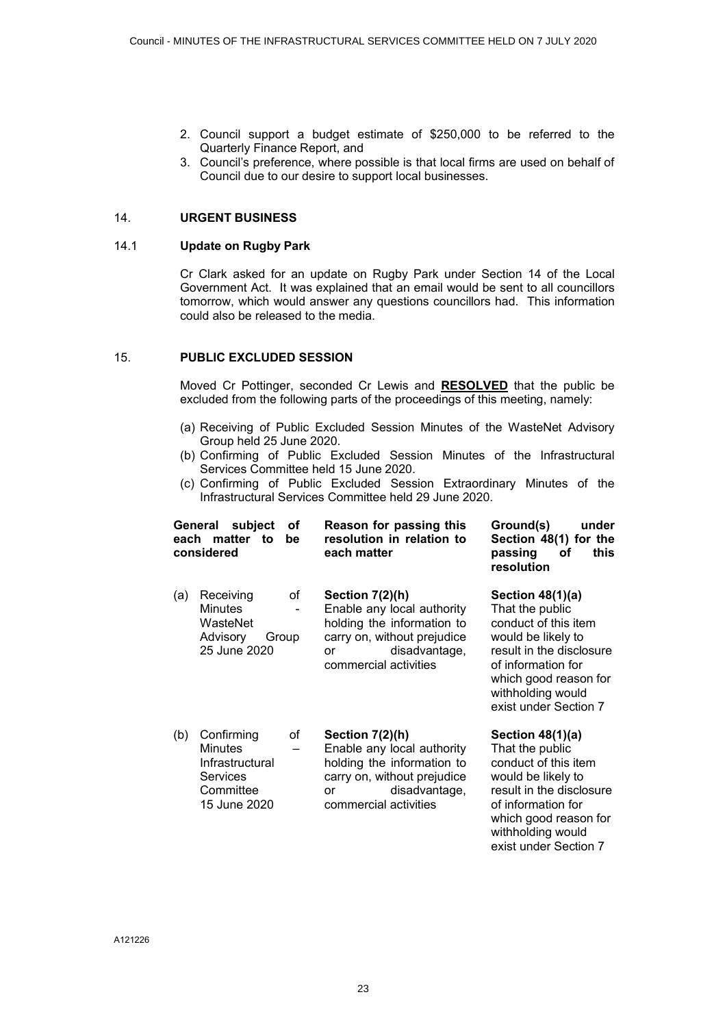- 2. Council support a budget estimate of \$250,000 to be referred to the Quarterly Finance Report, and
- 3. Council's preference, where possible is that local firms are used on behalf of Council due to our desire to support local businesses.

# 14. **URGENT BUSINESS**

# 14.1 **Update on Rugby Park**

Cr Clark asked for an update on Rugby Park under Section 14 of the Local Government Act. It was explained that an email would be sent to all councillors tomorrow, which would answer any questions councillors had. This information could also be released to the media.

#### 15. **PUBLIC EXCLUDED SESSION**

Moved Cr Pottinger, seconded Cr Lewis and **RESOLVED** that the public be excluded from the following parts of the proceedings of this meeting, namely:

- (a) Receiving of Public Excluded Session Minutes of the WasteNet Advisory Group held 25 June 2020.
- (b) Confirming of Public Excluded Session Minutes of the Infrastructural Services Committee held 15 June 2020.
- (c) Confirming of Public Excluded Session Extraordinary Minutes of the Infrastructural Services Committee held 29 June 2020.

| each | subject<br>General<br>matter to<br>considered                                                  | οf<br>be    | Reason for passing this<br>resolution in relation to<br>each matter                                                                                          | Ground(s)<br>under<br>Section 48(1) for the<br>passing<br>this<br>οf<br>resolution                                                                                                                           |
|------|------------------------------------------------------------------------------------------------|-------------|--------------------------------------------------------------------------------------------------------------------------------------------------------------|--------------------------------------------------------------------------------------------------------------------------------------------------------------------------------------------------------------|
| (a)  | Receiving<br><b>Minutes</b><br>WasteNet<br>Advisory<br>25 June 2020                            | οf<br>Group | Section 7(2)(h)<br>Enable any local authority<br>holding the information to<br>carry on, without prejudice<br>disadvantage,<br>or<br>commercial activities   | Section $48(1)(a)$<br>That the public<br>conduct of this item<br>would be likely to<br>result in the disclosure<br>of information for<br>which good reason for<br>withholding would<br>exist under Section 7 |
| (b)  | Confirming<br>οf<br>Minutes<br>Infrastructural<br><b>Services</b><br>Committee<br>15 June 2020 |             | Section $7(2)(h)$<br>Enable any local authority<br>holding the information to<br>carry on, without prejudice<br>disadvantage,<br>or<br>commercial activities | Section $48(1)(a)$<br>That the public<br>conduct of this item<br>would be likely to<br>result in the disclosure<br>of information for<br>which good reason for<br>withholding would<br>exist under Section 7 |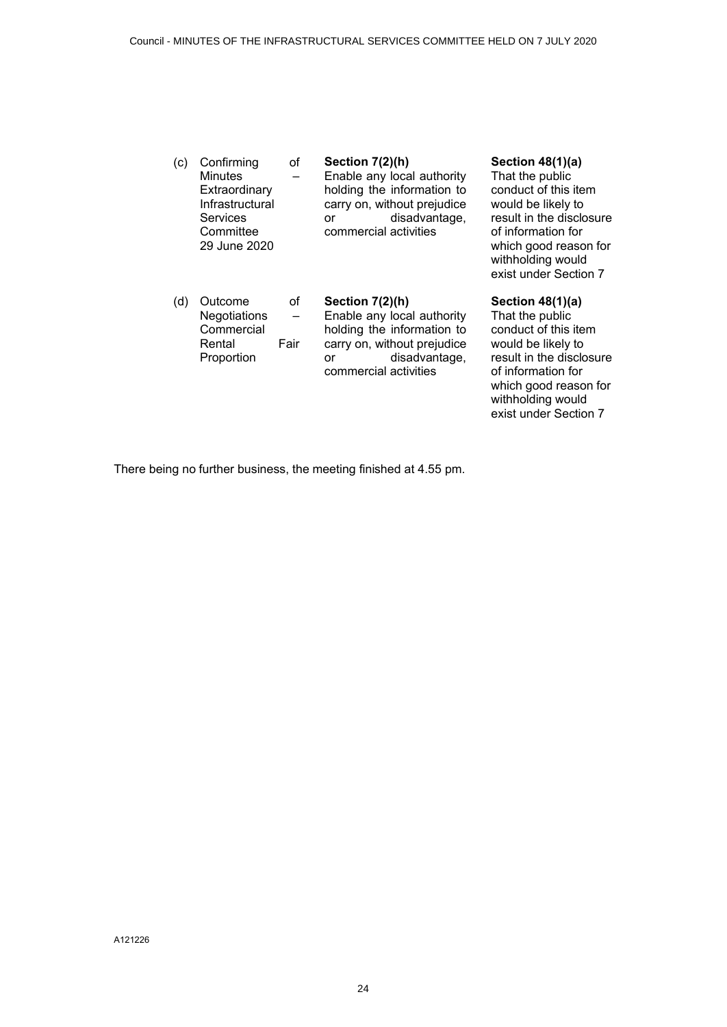| (c) | Confirming<br><b>Minutes</b><br>Extraordinary<br>Infrastructural<br>Services<br>Committee<br>29 June 2020 | of         | Section 7(2)(h)<br>Enable any local authority<br>holding the information to<br>carry on, without prejudice<br>disadvantage,<br>or<br>commercial activities | Section 48(1)(a)<br>That the public<br>conduct of this item<br>would be likely to<br>result in the disclosure<br>of information for<br>which good reason for<br>withholding would<br>exist under Section 7 |
|-----|-----------------------------------------------------------------------------------------------------------|------------|------------------------------------------------------------------------------------------------------------------------------------------------------------|------------------------------------------------------------------------------------------------------------------------------------------------------------------------------------------------------------|
| (d) | Outcome<br>Negotiations<br>Commercial<br>Rental<br>Proportion                                             | οf<br>Fair | Section 7(2)(h)<br>Enable any local authority<br>holding the information to<br>carry on, without prejudice<br>disadvantage,<br>or<br>commercial activities | Section $48(1)(a)$<br>That the public<br>conduct of this item<br>would be likely to<br>result in the disclosure<br>of information for<br>which good reason for<br>withholding would                        |

exist under Section 7

There being no further business, the meeting finished at 4.55 pm.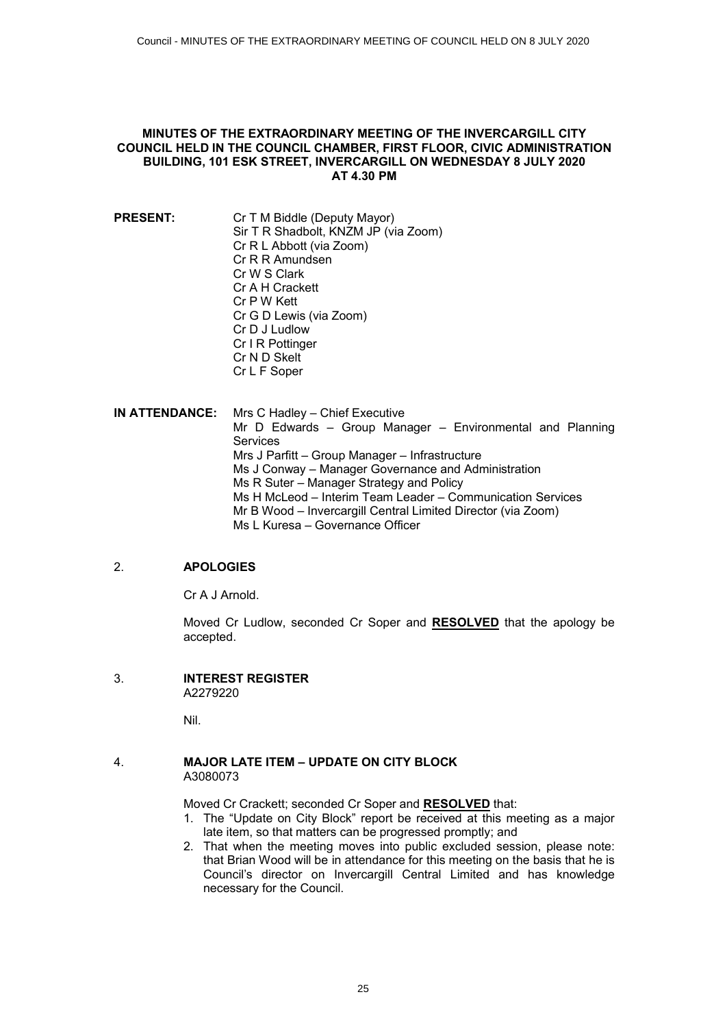#### <span id="page-24-0"></span>**MINUTES OF THE EXTRAORDINARY MEETING OF THE INVERCARGILL CITY COUNCIL HELD IN THE COUNCIL CHAMBER, FIRST FLOOR, CIVIC ADMINISTRATION BUILDING, 101 ESK STREET, INVERCARGILL ON WEDNESDAY 8 JULY 2020 AT 4.30 PM**

**PRESENT:** Cr T M Biddle (Deputy Mayor) Sir T R Shadbolt, KNZM JP (via Zoom) Cr R L Abbott (via Zoom) Cr R R Amundsen Cr W S Clark Cr A H Crackett Cr P W Kett Cr G D Lewis (via Zoom) Cr D J Ludlow Cr I R Pottinger Cr N D Skelt Cr L F Soper

**IN ATTENDANCE:** Mrs C Hadley – Chief Executive Mr D Edwards – Group Manager – Environmental and Planning Services Mrs J Parfitt – Group Manager – Infrastructure Ms J Conway – Manager Governance and Administration Ms R Suter – Manager Strategy and Policy Ms H McLeod – Interim Team Leader – Communication Services Mr B Wood – Invercargill Central Limited Director (via Zoom) Ms L Kuresa – Governance Officer

# 2. **APOLOGIES**

Cr A J Arnold.

Moved Cr Ludlow, seconded Cr Soper and **RESOLVED** that the apology be accepted.

3. **INTEREST REGISTER**  A2279220

Nil.

# 4. **MAJOR LATE ITEM – UPDATE ON CITY BLOCK**  A3080073

Moved Cr Crackett; seconded Cr Soper and **RESOLVED** that:

- 1. The "Update on City Block" report be received at this meeting as a major late item, so that matters can be progressed promptly; and
- 2. That when the meeting moves into public excluded session, please note: that Brian Wood will be in attendance for this meeting on the basis that he is Council's director on Invercargill Central Limited and has knowledge necessary for the Council.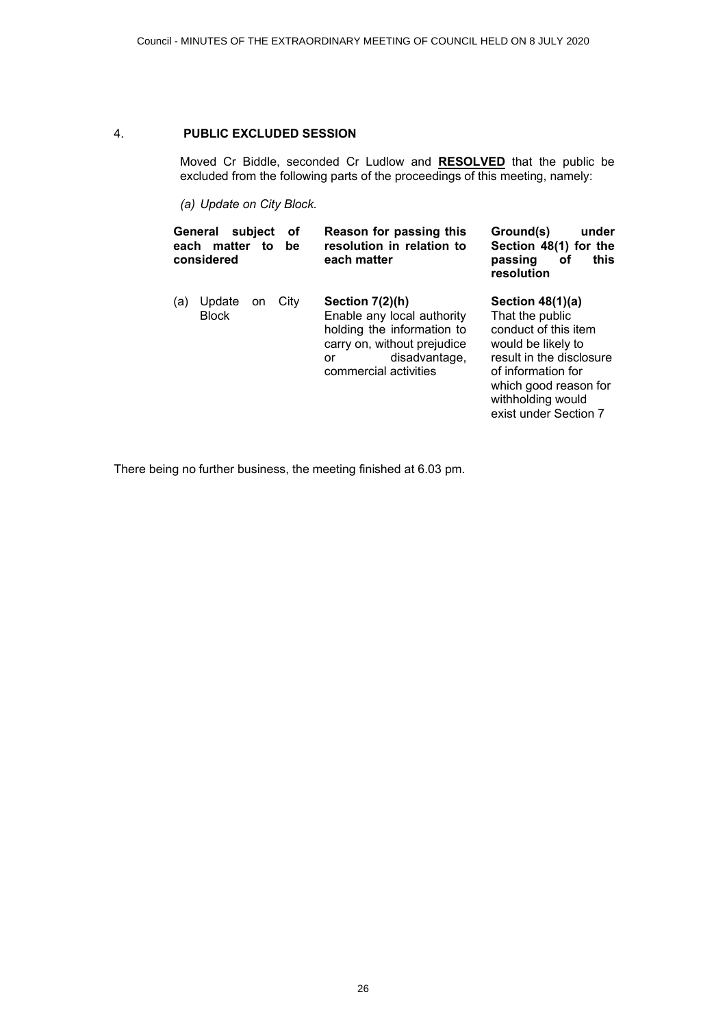#### 4. **PUBLIC EXCLUDED SESSION**

Moved Cr Biddle, seconded Cr Ludlow and **RESOLVED** that the public be excluded from the following parts of the proceedings of this meeting, namely:

*(a) Update on City Block.*

|     | General<br>each matter to<br>considered | subject | οf<br>be | Reason for passing this<br>resolution in relation to<br>each matter                                                                                          | under<br>Ground(s)<br>Section 48(1) for the<br>this<br>passing<br>οf<br>resolution                                                                                                                           |
|-----|-----------------------------------------|---------|----------|--------------------------------------------------------------------------------------------------------------------------------------------------------------|--------------------------------------------------------------------------------------------------------------------------------------------------------------------------------------------------------------|
| (a) | Update<br><b>Block</b>                  | on      | City     | Section $7(2)(h)$<br>Enable any local authority<br>holding the information to<br>carry on, without prejudice<br>disadvantage,<br>or<br>commercial activities | Section $48(1)(a)$<br>That the public<br>conduct of this item<br>would be likely to<br>result in the disclosure<br>of information for<br>which good reason for<br>withholding would<br>exist under Section 7 |

There being no further business, the meeting finished at 6.03 pm.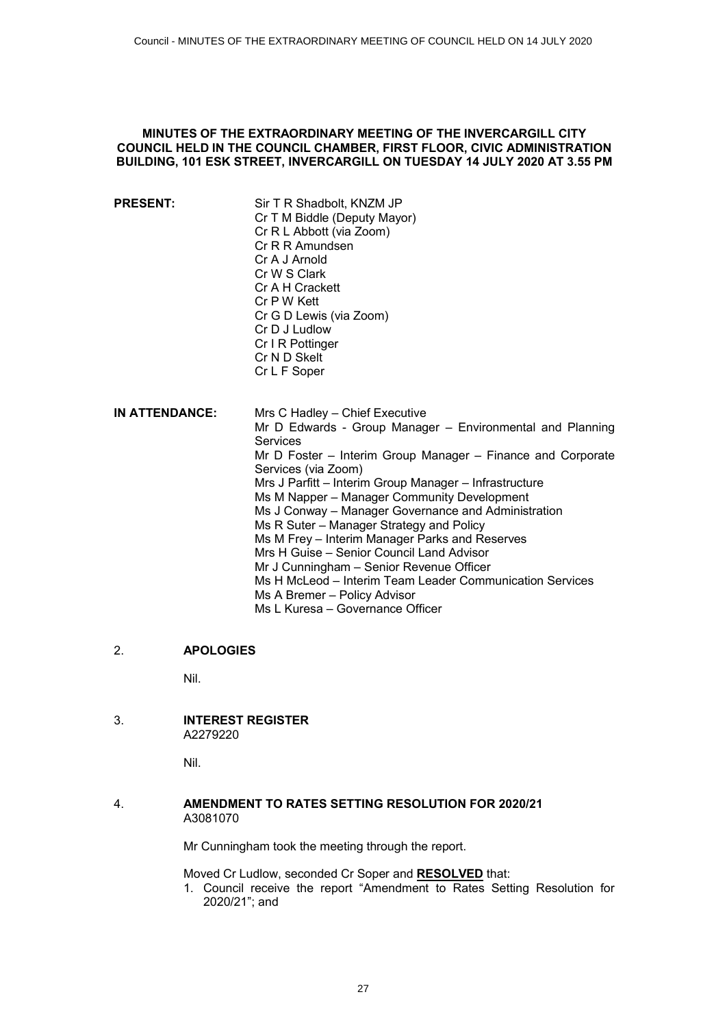# <span id="page-26-0"></span>**MINUTES OF THE EXTRAORDINARY MEETING OF THE INVERCARGILL CITY COUNCIL HELD IN THE COUNCIL CHAMBER, FIRST FLOOR, CIVIC ADMINISTRATION BUILDING, 101 ESK STREET, INVERCARGILL ON TUESDAY 14 JULY 2020 AT 3.55 PM**

- **PRESENT:** Sir T R Shadbolt, KNZM JP Cr T M Biddle (Deputy Mayor) Cr R L Abbott (via Zoom) Cr R R Amundsen Cr A J Arnold Cr W S Clark Cr A H Crackett Cr P W Kett Cr G D Lewis (via Zoom) Cr D J Ludlow Cr I R Pottinger Cr N D Skelt Cr L F Soper **IN ATTENDANCE:** Mrs C Hadley – Chief Executive Services
	- Mr D Edwards Group Manager Environmental and Planning Mr D Foster – Interim Group Manager – Finance and Corporate Services (via Zoom) Mrs J Parfitt – Interim Group Manager – Infrastructure Ms M Napper – Manager Community Development Ms J Conway – Manager Governance and Administration Ms R Suter – Manager Strategy and Policy Ms M Frey – Interim Manager Parks and Reserves Mrs H Guise – Senior Council Land Advisor Mr J Cunningham – Senior Revenue Officer Ms H McLeod – Interim Team Leader Communication Services Ms A Bremer – Policy Advisor Ms L Kuresa – Governance Officer

# 2. **APOLOGIES**

Nil.

3. **INTEREST REGISTER**  A2279220

Nil.

4. **AMENDMENT TO RATES SETTING RESOLUTION FOR 2020/21**  A3081070

Mr Cunningham took the meeting through the report.

Moved Cr Ludlow, seconded Cr Soper and **RESOLVED** that:

1. Council receive the report "Amendment to Rates Setting Resolution for 2020/21"; and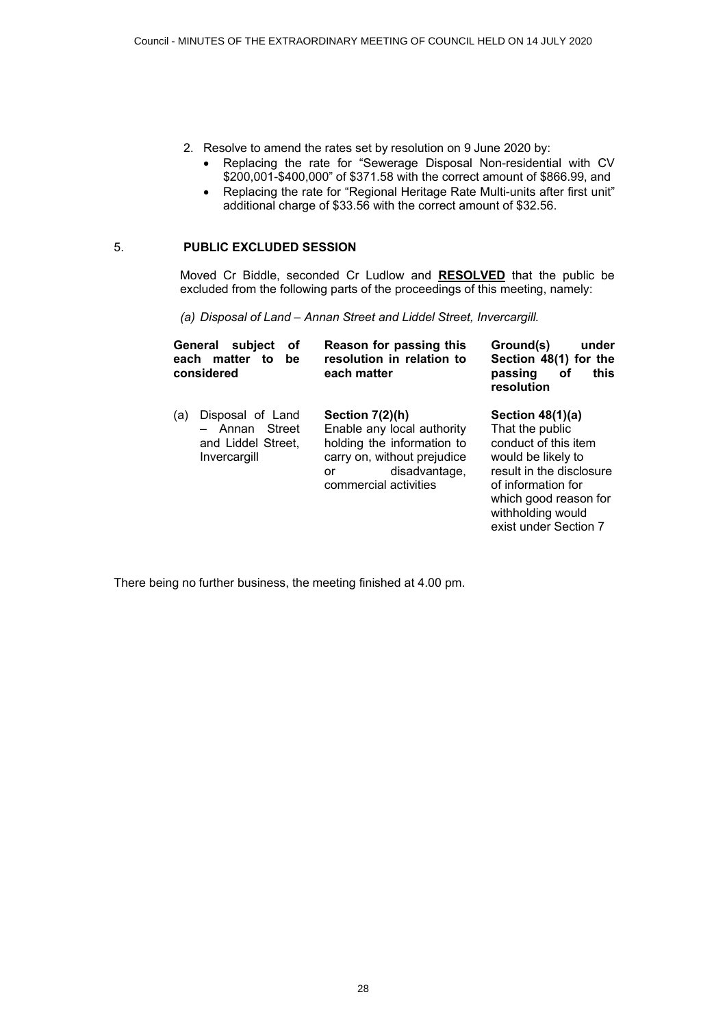- 2. Resolve to amend the rates set by resolution on 9 June 2020 by:
	- Replacing the rate for "Sewerage Disposal Non-residential with CV \$200,001-\$400,000" of \$371.58 with the correct amount of \$866.99, and
	- Replacing the rate for "Regional Heritage Rate Multi-units after first unit" additional charge of \$33.56 with the correct amount of \$32.56.

# 5. **PUBLIC EXCLUDED SESSION**

Moved Cr Biddle, seconded Cr Ludlow and **RESOLVED** that the public be excluded from the following parts of the proceedings of this meeting, namely:

*(a) Disposal of Land – Annan Street and Liddel Street, Invercargill.*

| General<br>subject<br>οf<br>matter<br>each<br>to<br>be<br>considered |                                                                          | Reason for passing this<br>resolution in relation to<br>each matter                                                                                          | Ground(s)<br>under<br>Section 48(1) for the<br>this<br>passing<br>οf<br>resolution                                                                                                                           |
|----------------------------------------------------------------------|--------------------------------------------------------------------------|--------------------------------------------------------------------------------------------------------------------------------------------------------------|--------------------------------------------------------------------------------------------------------------------------------------------------------------------------------------------------------------|
| (a)                                                                  | Disposal of Land<br>- Annan Street<br>and Liddel Street,<br>Invercargill | Section $7(2)(h)$<br>Enable any local authority<br>holding the information to<br>carry on, without prejudice<br>disadvantage,<br>or<br>commercial activities | Section $48(1)(a)$<br>That the public<br>conduct of this item<br>would be likely to<br>result in the disclosure<br>of information for<br>which good reason for<br>withholding would<br>exist under Section 7 |

There being no further business, the meeting finished at 4.00 pm.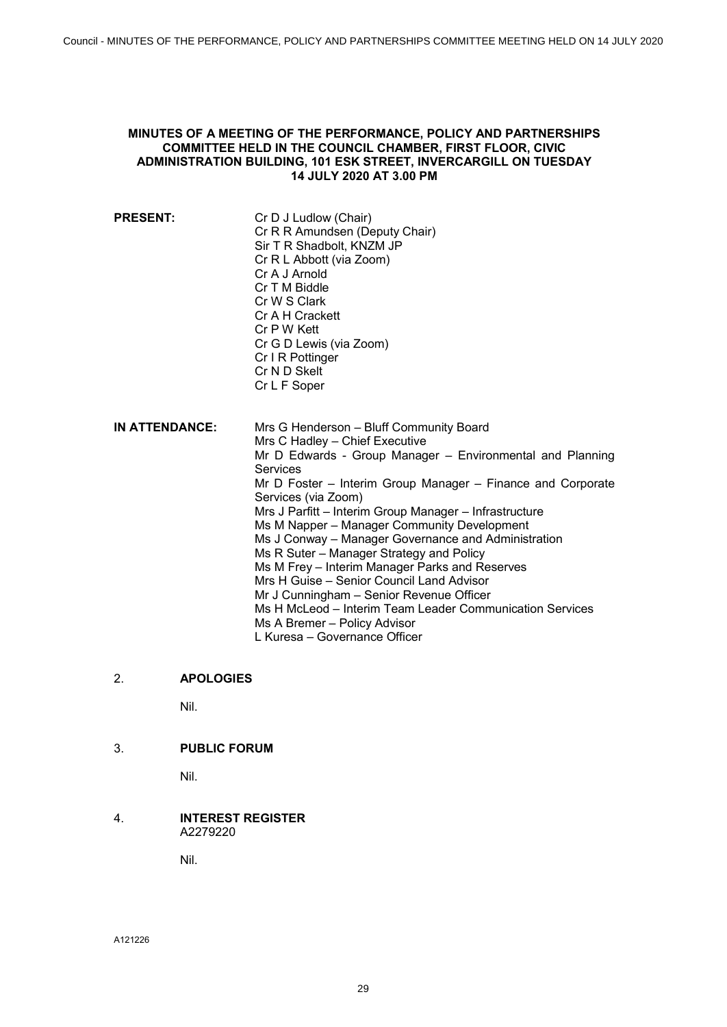# <span id="page-28-0"></span>**MINUTES OF A MEETING OF THE PERFORMANCE, POLICY AND PARTNERSHIPS COMMITTEE HELD IN THE COUNCIL CHAMBER, FIRST FLOOR, CIVIC ADMINISTRATION BUILDING, 101 ESK STREET, INVERCARGILL ON TUESDAY 14 JULY 2020 AT 3.00 PM**

**PRESENT:** Cr D J Ludlow (Chair) Cr R R Amundsen (Deputy Chair) Sir T R Shadbolt, KNZM JP Cr R L Abbott (via Zoom) Cr A J Arnold Cr T M Biddle Cr W S Clark Cr A H Crackett Cr P W Kett Cr G D Lewis (via Zoom) Cr I R Pottinger Cr N D Skelt Cr L F Soper **IN ATTENDANCE:** Mrs G Henderson – Bluff Community Board Mrs C Hadley – Chief Executive Mr D Edwards - Group Manager – Environmental and Planning **Services** Mr D Foster – Interim Group Manager – Finance and Corporate Services (via Zoom) Mrs J Parfitt – Interim Group Manager – Infrastructure Ms M Napper – Manager Community Development Ms J Conway – Manager Governance and Administration Ms R Suter – Manager Strategy and Policy Ms M Frey – Interim Manager Parks and Reserves Mrs H Guise – Senior Council Land Advisor Mr J Cunningham – Senior Revenue Officer Ms H McLeod – Interim Team Leader Communication Services Ms A Bremer – Policy Advisor L Kuresa – Governance Officer

# 2. **APOLOGIES**

Nil.

# 3. **PUBLIC FORUM**

Nil.

# 4. **INTEREST REGISTER**  A2279220

Nil.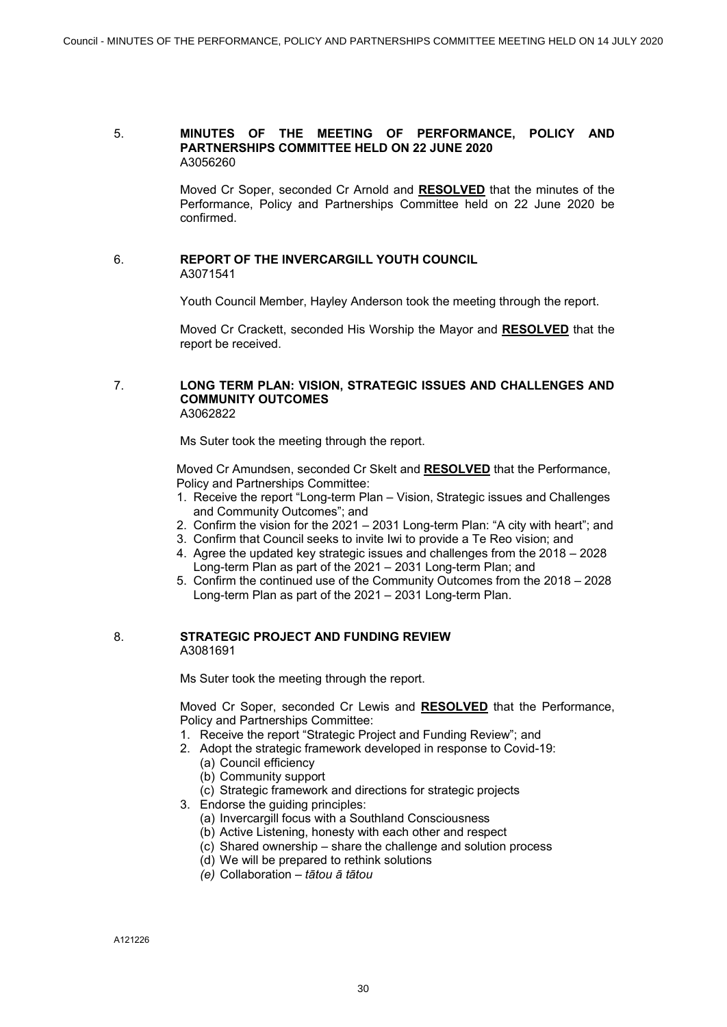#### 5. **MINUTES OF THE MEETING OF PERFORMANCE, POLICY AND PARTNERSHIPS COMMITTEE HELD ON 22 JUNE 2020** A3056260

Moved Cr Soper, seconded Cr Arnold and **RESOLVED** that the minutes of the Performance, Policy and Partnerships Committee held on 22 June 2020 be confirmed.

#### 6. **REPORT OF THE INVERCARGILL YOUTH COUNCIL** A3071541

Youth Council Member, Hayley Anderson took the meeting through the report.

Moved Cr Crackett, seconded His Worship the Mayor and **RESOLVED** that the report be received.

#### 7. **LONG TERM PLAN: VISION, STRATEGIC ISSUES AND CHALLENGES AND COMMUNITY OUTCOMES** A3062822

Ms Suter took the meeting through the report.

Moved Cr Amundsen, seconded Cr Skelt and **RESOLVED** that the Performance, Policy and Partnerships Committee:

- 1. Receive the report "Long-term Plan Vision, Strategic issues and Challenges and Community Outcomes"; and
- 2. Confirm the vision for the 2021 2031 Long-term Plan: "A city with heart"; and
- 3. Confirm that Council seeks to invite Iwi to provide a Te Reo vision; and
- 4. Agree the updated key strategic issues and challenges from the 2018 2028 Long-term Plan as part of the 2021 – 2031 Long-term Plan; and
- 5. Confirm the continued use of the Community Outcomes from the 2018 2028 Long-term Plan as part of the 2021 – 2031 Long-term Plan.

# 8. **STRATEGIC PROJECT AND FUNDING REVIEW** A3081691

Ms Suter took the meeting through the report.

Moved Cr Soper, seconded Cr Lewis and **RESOLVED** that the Performance, Policy and Partnerships Committee:

- 1. Receive the report "Strategic Project and Funding Review"; and
- 2. Adopt the strategic framework developed in response to Covid-19:
	- (a) Council efficiency
	- (b) Community support
	- (c) Strategic framework and directions for strategic projects
- 3. Endorse the guiding principles:
	- (a) Invercargill focus with a Southland Consciousness
	- (b) Active Listening, honesty with each other and respect
	- (c) Shared ownership share the challenge and solution process
	- (d) We will be prepared to rethink solutions
	- *(e)* Collaboration *tātou ā tātou*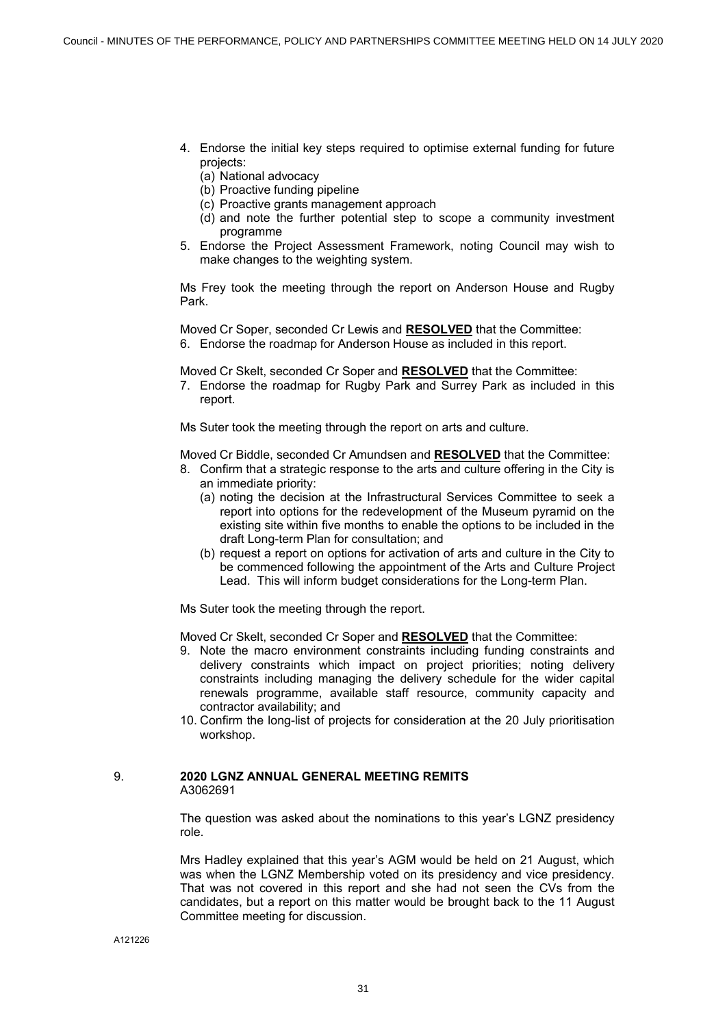- 4. Endorse the initial key steps required to optimise external funding for future projects:
	- (a) National advocacy
	- (b) Proactive funding pipeline
	- (c) Proactive grants management approach
	- (d) and note the further potential step to scope a community investment programme
- 5. Endorse the Project Assessment Framework, noting Council may wish to make changes to the weighting system.

Ms Frey took the meeting through the report on Anderson House and Rugby Park.

Moved Cr Soper, seconded Cr Lewis and **RESOLVED** that the Committee: 6. Endorse the roadmap for Anderson House as included in this report.

Moved Cr Skelt, seconded Cr Soper and **RESOLVED** that the Committee:

7. Endorse the roadmap for Rugby Park and Surrey Park as included in this report.

Ms Suter took the meeting through the report on arts and culture.

Moved Cr Biddle, seconded Cr Amundsen and **RESOLVED** that the Committee:

- 8. Confirm that a strategic response to the arts and culture offering in the City is an immediate priority:
	- (a) noting the decision at the Infrastructural Services Committee to seek a report into options for the redevelopment of the Museum pyramid on the existing site within five months to enable the options to be included in the draft Long-term Plan for consultation; and
	- (b) request a report on options for activation of arts and culture in the City to be commenced following the appointment of the Arts and Culture Project Lead. This will inform budget considerations for the Long-term Plan.

Ms Suter took the meeting through the report.

Moved Cr Skelt, seconded Cr Soper and **RESOLVED** that the Committee:

- 9. Note the macro environment constraints including funding constraints and delivery constraints which impact on project priorities; noting delivery constraints including managing the delivery schedule for the wider capital renewals programme, available staff resource, community capacity and contractor availability; and
- 10. Confirm the long-list of projects for consideration at the 20 July prioritisation workshop.

#### 9. **2020 LGNZ ANNUAL GENERAL MEETING REMITS** A3062691

The question was asked about the nominations to this year's LGNZ presidency role.

Mrs Hadley explained that this year's AGM would be held on 21 August, which was when the LGNZ Membership voted on its presidency and vice presidency. That was not covered in this report and she had not seen the CVs from the candidates, but a report on this matter would be brought back to the 11 August Committee meeting for discussion.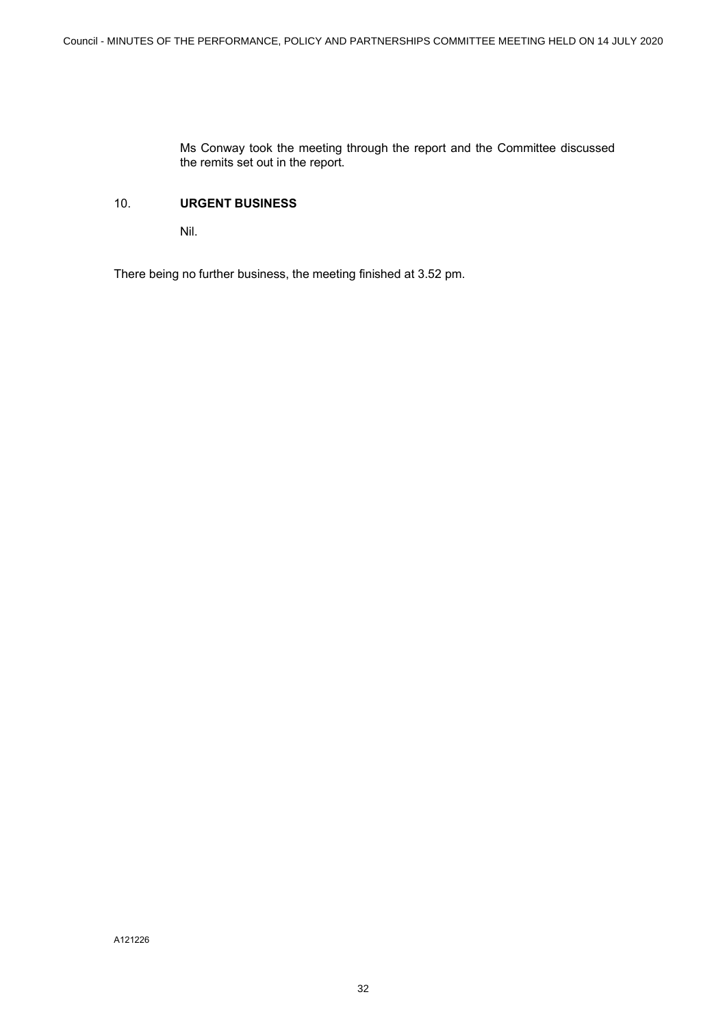Ms Conway took the meeting through the report and the Committee discussed the remits set out in the report.

# 10. **URGENT BUSINESS**

Nil.

There being no further business, the meeting finished at 3.52 pm.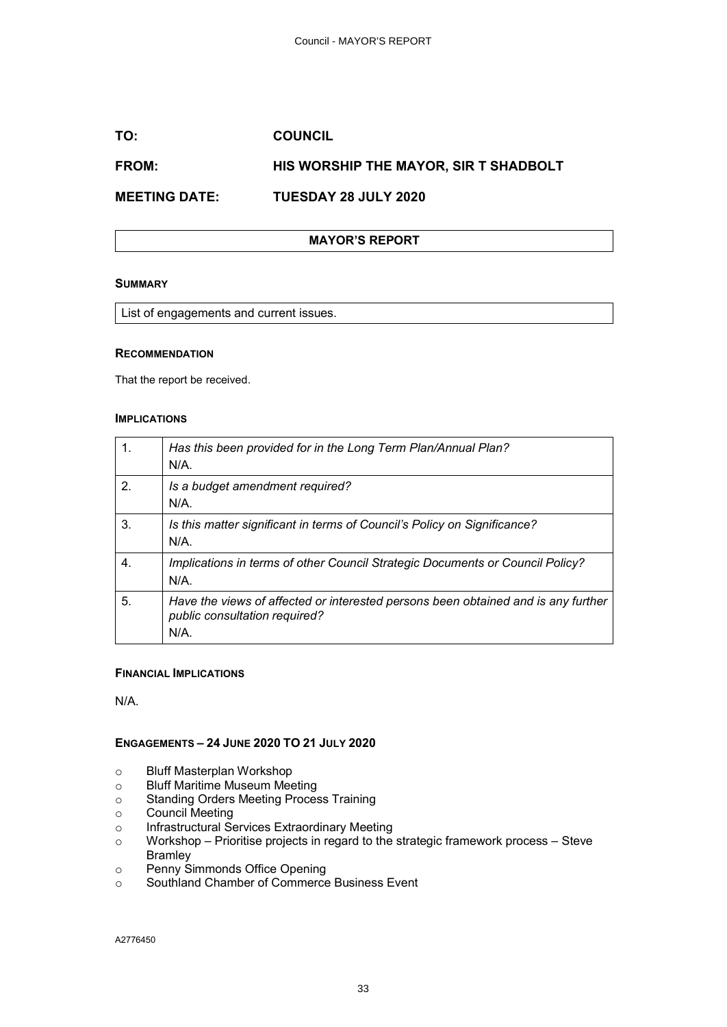# <span id="page-32-0"></span>**TO: COUNCIL**

# **FROM: HIS WORSHIP THE MAYOR, SIR T SHADBOLT**

**MEETING DATE: TUESDAY 28 JULY 2020**

# **MAYOR'S REPORT**

#### **SUMMARY**

List of engagements and current issues.

#### **RECOMMENDATION**

That the report be received.

#### **IMPLICATIONS**

| 1. | Has this been provided for in the Long Term Plan/Annual Plan?<br>$N/A$ .                                                  |
|----|---------------------------------------------------------------------------------------------------------------------------|
| 2. | Is a budget amendment required?<br>$N/A$ .                                                                                |
| 3. | Is this matter significant in terms of Council's Policy on Significance?<br>N/A                                           |
| 4. | Implications in terms of other Council Strategic Documents or Council Policy?<br>$N/A$ .                                  |
| 5. | Have the views of affected or interested persons been obtained and is any further<br>public consultation required?<br>N/A |

#### **FINANCIAL IMPLICATIONS**

N/A.

# **ENGAGEMENTS – 24 JUNE 2020 TO 21 JULY 2020**

- o Bluff Masterplan Workshop
- o Bluff Maritime Museum Meeting
- o Standing Orders Meeting Process Training
- o Council Meeting
- o Infrastructural Services Extraordinary Meeting
- $\circ$  Workshop Prioritise projects in regard to the strategic framework process Steve Bramley
- o Penny Simmonds Office Opening
- o Southland Chamber of Commerce Business Event